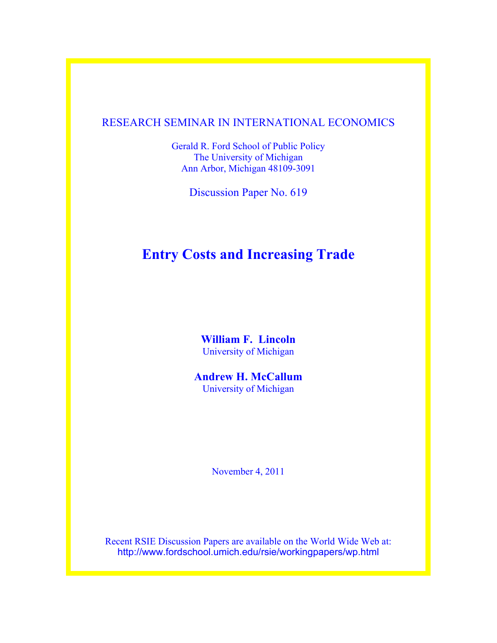#### RESEARCH SEMINAR IN INTERNATIONAL ECONOMICS

Gerald R. Ford School of Public Policy The University of Michigan Ann Arbor, Michigan 48109-3091

Discussion Paper No. 619

## **Entry Costs and Increasing Trade**

**William F. Lincoln** University of Michigan

**Andrew H. McCallum** University of Michigan

November 4, 2011

Recent RSIE Discussion Papers are available on the World Wide Web at: http://www.fordschool.umich.edu/rsie/workingpapers/wp.html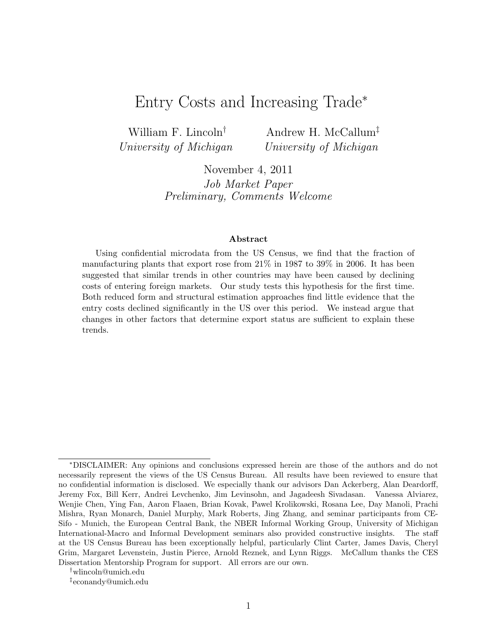## Entry Costs and Increasing Trade<sup>∗</sup>

William F. Lincoln† University of Michigan

Andrew H. McCallum‡ University of Michigan

November 4, 2011

Job Market Paper Preliminary, Comments Welcome

#### Abstract

Using confidential microdata from the US Census, we find that the fraction of manufacturing plants that export rose from 21% in 1987 to 39% in 2006. It has been suggested that similar trends in other countries may have been caused by declining costs of entering foreign markets. Our study tests this hypothesis for the first time. Both reduced form and structural estimation approaches find little evidence that the entry costs declined significantly in the US over this period. We instead argue that changes in other factors that determine export status are sufficient to explain these trends.

<sup>∗</sup>DISCLAIMER: Any opinions and conclusions expressed herein are those of the authors and do not necessarily represent the views of the US Census Bureau. All results have been reviewed to ensure that no confidential information is disclosed. We especially thank our advisors Dan Ackerberg, Alan Deardorff, Jeremy Fox, Bill Kerr, Andrei Levchenko, Jim Levinsohn, and Jagadeesh Sivadasan. Vanessa Alviarez, Wenjie Chen, Ying Fan, Aaron Flaaen, Brian Kovak, Pawel Krolikowski, Rosana Lee, Day Manoli, Prachi Mishra, Ryan Monarch, Daniel Murphy, Mark Roberts, Jing Zhang, and seminar participants from CE-Sifo - Munich, the European Central Bank, the NBER Informal Working Group, University of Michigan International-Macro and Informal Development seminars also provided constructive insights. The staff at the US Census Bureau has been exceptionally helpful, particularly Clint Carter, James Davis, Cheryl Grim, Margaret Levenstein, Justin Pierce, Arnold Reznek, and Lynn Riggs. McCallum thanks the CES Dissertation Mentorship Program for support. All errors are our own.

<sup>†</sup>wlincoln@umich.edu

<sup>‡</sup> econandy@umich.edu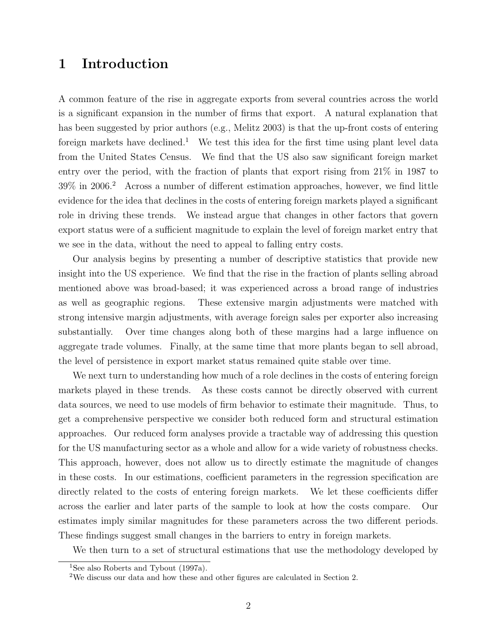## 1 Introduction

A common feature of the rise in aggregate exports from several countries across the world is a significant expansion in the number of firms that export. A natural explanation that has been suggested by prior authors (e.g., Melitz 2003) is that the up-front costs of entering foreign markets have declined.<sup>1</sup> We test this idea for the first time using plant level data from the United States Census. We find that the US also saw significant foreign market entry over the period, with the fraction of plants that export rising from 21% in 1987 to 39% in 2006.<sup>2</sup> Across a number of different estimation approaches, however, we find little evidence for the idea that declines in the costs of entering foreign markets played a significant role in driving these trends. We instead argue that changes in other factors that govern export status were of a sufficient magnitude to explain the level of foreign market entry that we see in the data, without the need to appeal to falling entry costs.

Our analysis begins by presenting a number of descriptive statistics that provide new insight into the US experience. We find that the rise in the fraction of plants selling abroad mentioned above was broad-based; it was experienced across a broad range of industries as well as geographic regions. These extensive margin adjustments were matched with strong intensive margin adjustments, with average foreign sales per exporter also increasing substantially. Over time changes along both of these margins had a large influence on aggregate trade volumes. Finally, at the same time that more plants began to sell abroad, the level of persistence in export market status remained quite stable over time.

We next turn to understanding how much of a role declines in the costs of entering foreign markets played in these trends. As these costs cannot be directly observed with current data sources, we need to use models of firm behavior to estimate their magnitude. Thus, to get a comprehensive perspective we consider both reduced form and structural estimation approaches. Our reduced form analyses provide a tractable way of addressing this question for the US manufacturing sector as a whole and allow for a wide variety of robustness checks. This approach, however, does not allow us to directly estimate the magnitude of changes in these costs. In our estimations, coefficient parameters in the regression specification are directly related to the costs of entering foreign markets. We let these coefficients differ across the earlier and later parts of the sample to look at how the costs compare. Our estimates imply similar magnitudes for these parameters across the two different periods. These findings suggest small changes in the barriers to entry in foreign markets.

We then turn to a set of structural estimations that use the methodology developed by

<sup>&</sup>lt;sup>1</sup>See also Roberts and Tybout (1997a).

<sup>2</sup>We discuss our data and how these and other figures are calculated in Section 2.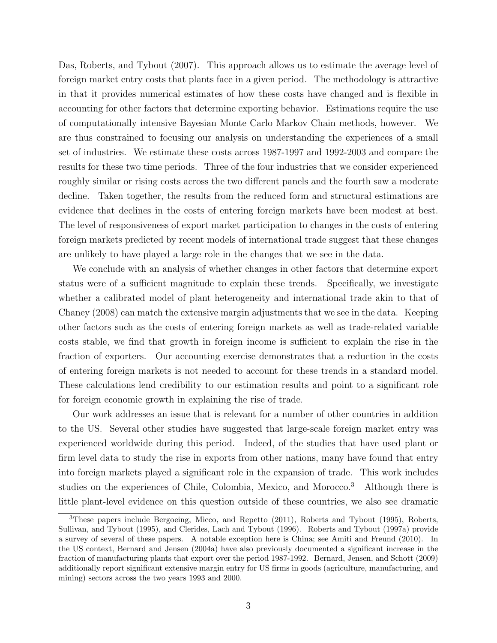Das, Roberts, and Tybout (2007). This approach allows us to estimate the average level of foreign market entry costs that plants face in a given period. The methodology is attractive in that it provides numerical estimates of how these costs have changed and is flexible in accounting for other factors that determine exporting behavior. Estimations require the use of computationally intensive Bayesian Monte Carlo Markov Chain methods, however. We are thus constrained to focusing our analysis on understanding the experiences of a small set of industries. We estimate these costs across 1987-1997 and 1992-2003 and compare the results for these two time periods. Three of the four industries that we consider experienced roughly similar or rising costs across the two different panels and the fourth saw a moderate decline. Taken together, the results from the reduced form and structural estimations are evidence that declines in the costs of entering foreign markets have been modest at best. The level of responsiveness of export market participation to changes in the costs of entering foreign markets predicted by recent models of international trade suggest that these changes are unlikely to have played a large role in the changes that we see in the data.

We conclude with an analysis of whether changes in other factors that determine export status were of a sufficient magnitude to explain these trends. Specifically, we investigate whether a calibrated model of plant heterogeneity and international trade akin to that of Chaney (2008) can match the extensive margin adjustments that we see in the data. Keeping other factors such as the costs of entering foreign markets as well as trade-related variable costs stable, we find that growth in foreign income is sufficient to explain the rise in the fraction of exporters. Our accounting exercise demonstrates that a reduction in the costs of entering foreign markets is not needed to account for these trends in a standard model. These calculations lend credibility to our estimation results and point to a significant role for foreign economic growth in explaining the rise of trade.

Our work addresses an issue that is relevant for a number of other countries in addition to the US. Several other studies have suggested that large-scale foreign market entry was experienced worldwide during this period. Indeed, of the studies that have used plant or firm level data to study the rise in exports from other nations, many have found that entry into foreign markets played a significant role in the expansion of trade. This work includes studies on the experiences of Chile, Colombia, Mexico, and Morocco.<sup>3</sup> Although there is little plant-level evidence on this question outside of these countries, we also see dramatic

<sup>3</sup>These papers include Bergoeing, Micco, and Repetto (2011), Roberts and Tybout (1995), Roberts, Sullivan, and Tybout (1995), and Clerides, Lach and Tybout (1996). Roberts and Tybout (1997a) provide a survey of several of these papers. A notable exception here is China; see Amiti and Freund (2010). In the US context, Bernard and Jensen (2004a) have also previously documented a significant increase in the fraction of manufacturing plants that export over the period 1987-1992. Bernard, Jensen, and Schott (2009) additionally report significant extensive margin entry for US firms in goods (agriculture, manufacturing, and mining) sectors across the two years 1993 and 2000.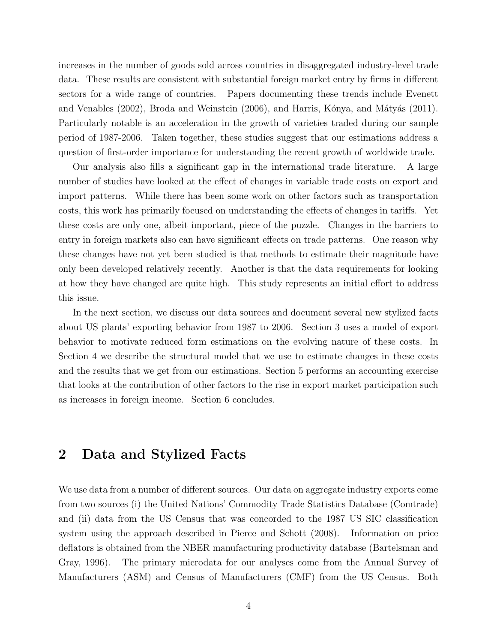increases in the number of goods sold across countries in disaggregated industry-level trade data. These results are consistent with substantial foreign market entry by firms in different sectors for a wide range of countries. Papers documenting these trends include Evenett and Venables (2002), Broda and Weinstein (2006), and Harris, Kónya, and Mátyás (2011). Particularly notable is an acceleration in the growth of varieties traded during our sample period of 1987-2006. Taken together, these studies suggest that our estimations address a question of first-order importance for understanding the recent growth of worldwide trade.

Our analysis also fills a significant gap in the international trade literature. A large number of studies have looked at the effect of changes in variable trade costs on export and import patterns. While there has been some work on other factors such as transportation costs, this work has primarily focused on understanding the effects of changes in tariffs. Yet these costs are only one, albeit important, piece of the puzzle. Changes in the barriers to entry in foreign markets also can have significant effects on trade patterns. One reason why these changes have not yet been studied is that methods to estimate their magnitude have only been developed relatively recently. Another is that the data requirements for looking at how they have changed are quite high. This study represents an initial effort to address this issue.

In the next section, we discuss our data sources and document several new stylized facts about US plants' exporting behavior from 1987 to 2006. Section 3 uses a model of export behavior to motivate reduced form estimations on the evolving nature of these costs. In Section 4 we describe the structural model that we use to estimate changes in these costs and the results that we get from our estimations. Section 5 performs an accounting exercise that looks at the contribution of other factors to the rise in export market participation such as increases in foreign income. Section 6 concludes.

## 2 Data and Stylized Facts

We use data from a number of different sources. Our data on aggregate industry exports come from two sources (i) the United Nations' Commodity Trade Statistics Database (Comtrade) and (ii) data from the US Census that was concorded to the 1987 US SIC classification system using the approach described in Pierce and Schott (2008). Information on price deflators is obtained from the NBER manufacturing productivity database (Bartelsman and Gray, 1996). The primary microdata for our analyses come from the Annual Survey of Manufacturers (ASM) and Census of Manufacturers (CMF) from the US Census. Both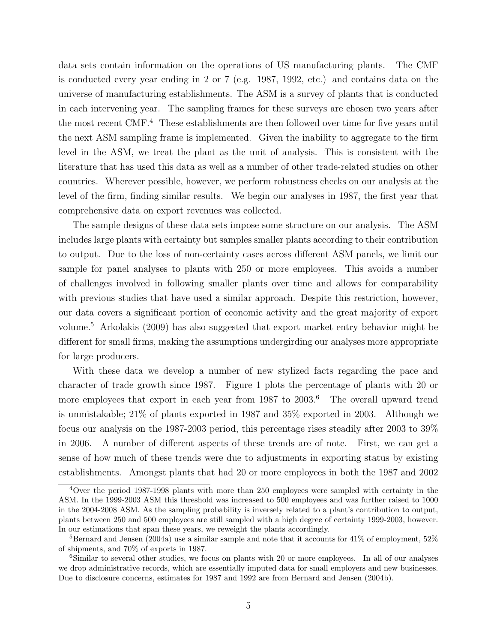data sets contain information on the operations of US manufacturing plants. The CMF is conducted every year ending in 2 or 7 (e.g. 1987, 1992, etc.) and contains data on the universe of manufacturing establishments. The ASM is a survey of plants that is conducted in each intervening year. The sampling frames for these surveys are chosen two years after the most recent CMF.<sup>4</sup> These establishments are then followed over time for five years until the next ASM sampling frame is implemented. Given the inability to aggregate to the firm level in the ASM, we treat the plant as the unit of analysis. This is consistent with the literature that has used this data as well as a number of other trade-related studies on other countries. Wherever possible, however, we perform robustness checks on our analysis at the level of the firm, finding similar results. We begin our analyses in 1987, the first year that comprehensive data on export revenues was collected.

The sample designs of these data sets impose some structure on our analysis. The ASM includes large plants with certainty but samples smaller plants according to their contribution to output. Due to the loss of non-certainty cases across different ASM panels, we limit our sample for panel analyses to plants with 250 or more employees. This avoids a number of challenges involved in following smaller plants over time and allows for comparability with previous studies that have used a similar approach. Despite this restriction, however, our data covers a significant portion of economic activity and the great majority of export volume.<sup>5</sup> Arkolakis (2009) has also suggested that export market entry behavior might be different for small firms, making the assumptions undergirding our analyses more appropriate for large producers.

With these data we develop a number of new stylized facts regarding the pace and character of trade growth since 1987. Figure 1 plots the percentage of plants with 20 or more employees that export in each year from 1987 to 2003.<sup>6</sup> The overall upward trend is unmistakable; 21% of plants exported in 1987 and 35% exported in 2003. Although we focus our analysis on the 1987-2003 period, this percentage rises steadily after 2003 to 39% in 2006. A number of different aspects of these trends are of note. First, we can get a sense of how much of these trends were due to adjustments in exporting status by existing establishments. Amongst plants that had 20 or more employees in both the 1987 and 2002

<sup>4</sup>Over the period 1987-1998 plants with more than 250 employees were sampled with certainty in the ASM. In the 1999-2003 ASM this threshold was increased to 500 employees and was further raised to 1000 in the 2004-2008 ASM. As the sampling probability is inversely related to a plant's contribution to output, plants between 250 and 500 employees are still sampled with a high degree of certainty 1999-2003, however. In our estimations that span these years, we reweight the plants accordingly.

 $5$ Bernard and Jensen (2004a) use a similar sample and note that it accounts for 41% of employment,  $52\%$ of shipments, and 70% of exports in 1987.

<sup>&</sup>lt;sup>6</sup>Similar to several other studies, we focus on plants with 20 or more employees. In all of our analyses we drop administrative records, which are essentially imputed data for small employers and new businesses. Due to disclosure concerns, estimates for 1987 and 1992 are from Bernard and Jensen (2004b).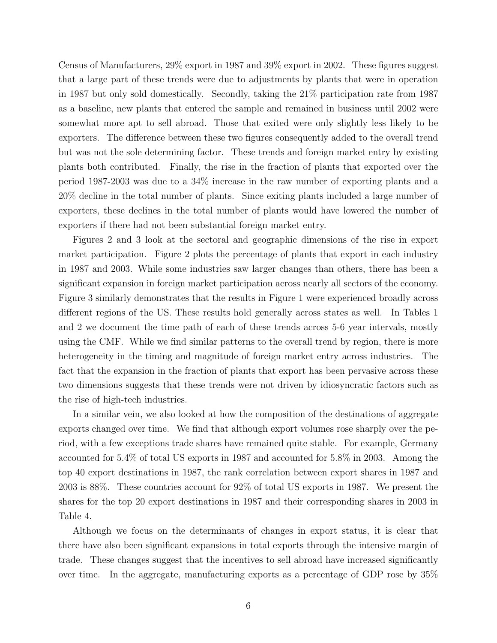Census of Manufacturers, 29% export in 1987 and 39% export in 2002. These figures suggest that a large part of these trends were due to adjustments by plants that were in operation in 1987 but only sold domestically. Secondly, taking the 21% participation rate from 1987 as a baseline, new plants that entered the sample and remained in business until 2002 were somewhat more apt to sell abroad. Those that exited were only slightly less likely to be exporters. The difference between these two figures consequently added to the overall trend but was not the sole determining factor. These trends and foreign market entry by existing plants both contributed. Finally, the rise in the fraction of plants that exported over the period 1987-2003 was due to a 34% increase in the raw number of exporting plants and a 20% decline in the total number of plants. Since exiting plants included a large number of exporters, these declines in the total number of plants would have lowered the number of exporters if there had not been substantial foreign market entry.

Figures 2 and 3 look at the sectoral and geographic dimensions of the rise in export market participation. Figure 2 plots the percentage of plants that export in each industry in 1987 and 2003. While some industries saw larger changes than others, there has been a significant expansion in foreign market participation across nearly all sectors of the economy. Figure 3 similarly demonstrates that the results in Figure 1 were experienced broadly across different regions of the US. These results hold generally across states as well. In Tables 1 and 2 we document the time path of each of these trends across 5-6 year intervals, mostly using the CMF. While we find similar patterns to the overall trend by region, there is more heterogeneity in the timing and magnitude of foreign market entry across industries. The fact that the expansion in the fraction of plants that export has been pervasive across these two dimensions suggests that these trends were not driven by idiosyncratic factors such as the rise of high-tech industries.

In a similar vein, we also looked at how the composition of the destinations of aggregate exports changed over time. We find that although export volumes rose sharply over the period, with a few exceptions trade shares have remained quite stable. For example, Germany accounted for 5.4% of total US exports in 1987 and accounted for 5.8% in 2003. Among the top 40 export destinations in 1987, the rank correlation between export shares in 1987 and 2003 is 88%. These countries account for 92% of total US exports in 1987. We present the shares for the top 20 export destinations in 1987 and their corresponding shares in 2003 in Table 4.

Although we focus on the determinants of changes in export status, it is clear that there have also been significant expansions in total exports through the intensive margin of trade. These changes suggest that the incentives to sell abroad have increased significantly over time. In the aggregate, manufacturing exports as a percentage of GDP rose by 35%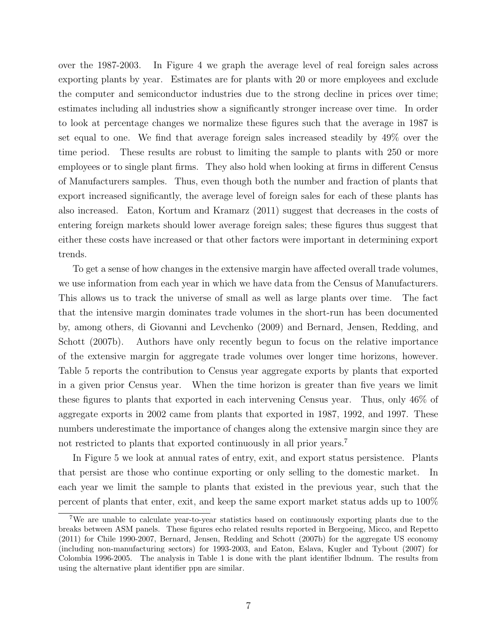over the 1987-2003. In Figure 4 we graph the average level of real foreign sales across exporting plants by year. Estimates are for plants with 20 or more employees and exclude the computer and semiconductor industries due to the strong decline in prices over time; estimates including all industries show a significantly stronger increase over time. In order to look at percentage changes we normalize these figures such that the average in 1987 is set equal to one. We find that average foreign sales increased steadily by 49% over the time period. These results are robust to limiting the sample to plants with 250 or more employees or to single plant firms. They also hold when looking at firms in different Census of Manufacturers samples. Thus, even though both the number and fraction of plants that export increased significantly, the average level of foreign sales for each of these plants has also increased. Eaton, Kortum and Kramarz (2011) suggest that decreases in the costs of entering foreign markets should lower average foreign sales; these figures thus suggest that either these costs have increased or that other factors were important in determining export trends.

To get a sense of how changes in the extensive margin have affected overall trade volumes, we use information from each year in which we have data from the Census of Manufacturers. This allows us to track the universe of small as well as large plants over time. The fact that the intensive margin dominates trade volumes in the short-run has been documented by, among others, di Giovanni and Levchenko (2009) and Bernard, Jensen, Redding, and Schott (2007b). Authors have only recently begun to focus on the relative importance of the extensive margin for aggregate trade volumes over longer time horizons, however. Table 5 reports the contribution to Census year aggregate exports by plants that exported in a given prior Census year. When the time horizon is greater than five years we limit these figures to plants that exported in each intervening Census year. Thus, only 46% of aggregate exports in 2002 came from plants that exported in 1987, 1992, and 1997. These numbers underestimate the importance of changes along the extensive margin since they are not restricted to plants that exported continuously in all prior years.<sup>7</sup>

In Figure 5 we look at annual rates of entry, exit, and export status persistence. Plants that persist are those who continue exporting or only selling to the domestic market. In each year we limit the sample to plants that existed in the previous year, such that the percent of plants that enter, exit, and keep the same export market status adds up to 100%

<sup>7</sup>We are unable to calculate year-to-year statistics based on continuously exporting plants due to the breaks between ASM panels. These figures echo related results reported in Bergoeing, Micco, and Repetto (2011) for Chile 1990-2007, Bernard, Jensen, Redding and Schott (2007b) for the aggregate US economy (including non-manufacturing sectors) for 1993-2003, and Eaton, Eslava, Kugler and Tybout (2007) for Colombia 1996-2005. The analysis in Table 1 is done with the plant identifier lbdnum. The results from using the alternative plant identifier ppn are similar.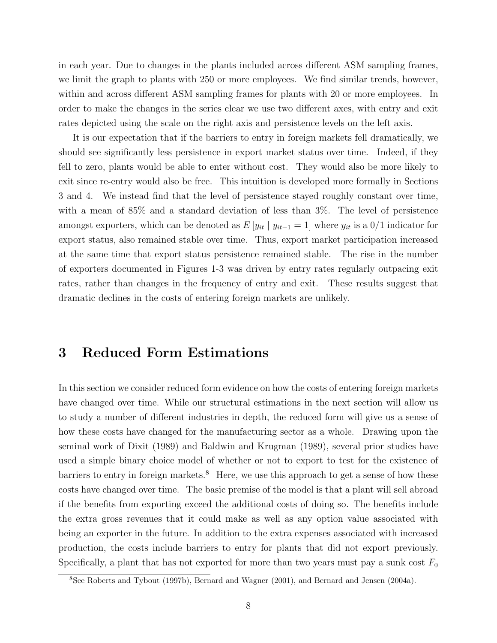in each year. Due to changes in the plants included across different ASM sampling frames, we limit the graph to plants with 250 or more employees. We find similar trends, however, within and across different ASM sampling frames for plants with 20 or more employees. In order to make the changes in the series clear we use two different axes, with entry and exit rates depicted using the scale on the right axis and persistence levels on the left axis.

It is our expectation that if the barriers to entry in foreign markets fell dramatically, we should see significantly less persistence in export market status over time. Indeed, if they fell to zero, plants would be able to enter without cost. They would also be more likely to exit since re-entry would also be free. This intuition is developed more formally in Sections 3 and 4. We instead find that the level of persistence stayed roughly constant over time, with a mean of 85% and a standard deviation of less than 3%. The level of persistence amongst exporters, which can be denoted as  $E[y_{it} | y_{it-1} = 1]$  where  $y_{it}$  is a 0/1 indicator for export status, also remained stable over time. Thus, export market participation increased at the same time that export status persistence remained stable. The rise in the number of exporters documented in Figures 1-3 was driven by entry rates regularly outpacing exit rates, rather than changes in the frequency of entry and exit. These results suggest that dramatic declines in the costs of entering foreign markets are unlikely.

### 3 Reduced Form Estimations

In this section we consider reduced form evidence on how the costs of entering foreign markets have changed over time. While our structural estimations in the next section will allow us to study a number of different industries in depth, the reduced form will give us a sense of how these costs have changed for the manufacturing sector as a whole. Drawing upon the seminal work of Dixit (1989) and Baldwin and Krugman (1989), several prior studies have used a simple binary choice model of whether or not to export to test for the existence of barriers to entry in foreign markets.<sup>8</sup> Here, we use this approach to get a sense of how these costs have changed over time. The basic premise of the model is that a plant will sell abroad if the benefits from exporting exceed the additional costs of doing so. The benefits include the extra gross revenues that it could make as well as any option value associated with being an exporter in the future. In addition to the extra expenses associated with increased production, the costs include barriers to entry for plants that did not export previously. Specifically, a plant that has not exported for more than two years must pay a sunk cost  $F_0$ 

<sup>8</sup>See Roberts and Tybout (1997b), Bernard and Wagner (2001), and Bernard and Jensen (2004a).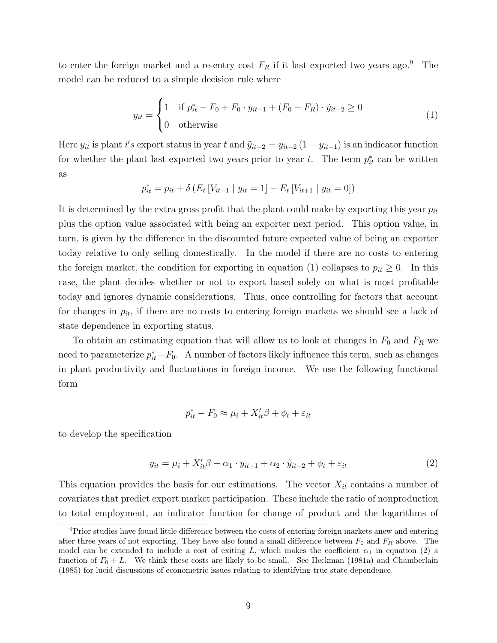to enter the foreign market and a re-entry cost  $F_R$  if it last exported two years ago.<sup>9</sup> The model can be reduced to a simple decision rule where

$$
y_{it} = \begin{cases} 1 & \text{if } p_{it}^* - F_0 + F_0 \cdot y_{it-1} + (F_0 - F_R) \cdot \tilde{y}_{it-2} \ge 0 \\ 0 & \text{otherwise} \end{cases}
$$
(1)

Here  $y_{it}$  is plant i's export status in year t and  $\tilde{y}_{it-2} = y_{it-2} (1 - y_{it-1})$  is an indicator function for whether the plant last exported two years prior to year t. The term  $p_{it}^*$  can be written as

$$
p_{it}^{*} = p_{it} + \delta \left( E_t \left[ V_{it+1} \mid y_{it} = 1 \right] - E_t \left[ V_{it+1} \mid y_{it} = 0 \right] \right)
$$

It is determined by the extra gross profit that the plant could make by exporting this year  $p_{it}$ plus the option value associated with being an exporter next period. This option value, in turn, is given by the difference in the discounted future expected value of being an exporter today relative to only selling domestically. In the model if there are no costs to entering the foreign market, the condition for exporting in equation (1) collapses to  $p_{it} \geq 0$ . In this case, the plant decides whether or not to export based solely on what is most profitable today and ignores dynamic considerations. Thus, once controlling for factors that account for changes in  $p_{it}$ , if there are no costs to entering foreign markets we should see a lack of state dependence in exporting status.

To obtain an estimating equation that will allow us to look at changes in  $F_0$  and  $F_R$  we need to parameterize  $p_{it}^* - F_0$ . A number of factors likely influence this term, such as changes in plant productivity and fluctuations in foreign income. We use the following functional form

$$
p_{it}^* - F_0 \approx \mu_i + X_{it}'\beta + \phi_t + \varepsilon_{it}
$$

to develop the specification

$$
y_{it} = \mu_i + X_{it}'\beta + \alpha_1 \cdot y_{it-1} + \alpha_2 \cdot \tilde{y}_{it-2} + \phi_t + \varepsilon_{it}
$$
\n
$$
\tag{2}
$$

This equation provides the basis for our estimations. The vector  $X_{it}$  contains a number of covariates that predict export market participation. These include the ratio of nonproduction to total employment, an indicator function for change of product and the logarithms of

<sup>&</sup>lt;sup>9</sup>Prior studies have found little difference between the costs of entering foreign markets anew and entering after three years of not exporting. They have also found a small difference between  $F_0$  and  $F_R$  above. The model can be extended to include a cost of exiting L, which makes the coefficient  $\alpha_1$  in equation (2) a function of  $F_0 + L$ . We think these costs are likely to be small. See Heckman (1981a) and Chamberlain (1985) for lucid discussions of econometric issues relating to identifying true state dependence.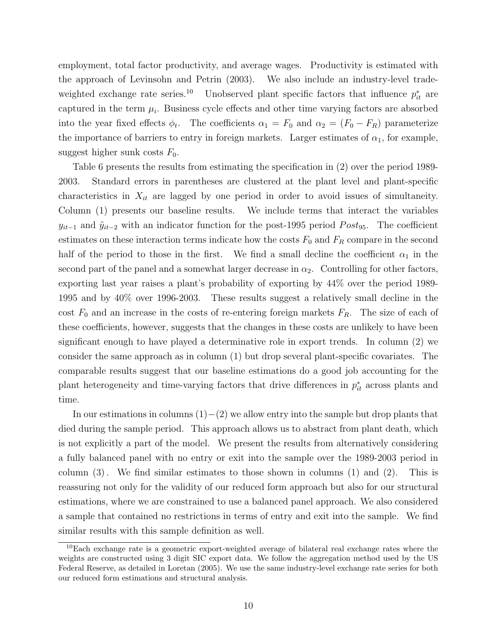employment, total factor productivity, and average wages. Productivity is estimated with the approach of Levinsohn and Petrin (2003). We also include an industry-level tradeweighted exchange rate series.<sup>10</sup> Unobserved plant specific factors that influence  $p_{it}^*$  are captured in the term  $\mu_i$ . Business cycle effects and other time varying factors are absorbed into the year fixed effects  $\phi_t$ . The coefficients  $\alpha_1 = F_0$  and  $\alpha_2 = (F_0 - F_R)$  parameterize the importance of barriers to entry in foreign markets. Larger estimates of  $\alpha_1$ , for example, suggest higher sunk costs  $F_0$ .

Table 6 presents the results from estimating the specification in (2) over the period 1989- 2003. Standard errors in parentheses are clustered at the plant level and plant-specific characteristics in  $X_{it}$  are lagged by one period in order to avoid issues of simultaneity. Column (1) presents our baseline results. We include terms that interact the variables  $y_{it-1}$  and  $\tilde{y}_{it-2}$  with an indicator function for the post-1995 period  $Post_{95}$ . The coefficient estimates on these interaction terms indicate how the costs  $F_0$  and  $F_R$  compare in the second half of the period to those in the first. We find a small decline the coefficient  $\alpha_1$  in the second part of the panel and a somewhat larger decrease in  $\alpha_2$ . Controlling for other factors, exporting last year raises a plant's probability of exporting by 44% over the period 1989- 1995 and by 40% over 1996-2003. These results suggest a relatively small decline in the cost  $F_0$  and an increase in the costs of re-entering foreign markets  $F_R$ . The size of each of these coefficients, however, suggests that the changes in these costs are unlikely to have been significant enough to have played a determinative role in export trends. In column (2) we consider the same approach as in column (1) but drop several plant-specific covariates. The comparable results suggest that our baseline estimations do a good job accounting for the plant heterogeneity and time-varying factors that drive differences in  $p_{it}^*$  across plants and time.

In our estimations in columns  $(1)–(2)$  we allow entry into the sample but drop plants that died during the sample period. This approach allows us to abstract from plant death, which is not explicitly a part of the model. We present the results from alternatively considering a fully balanced panel with no entry or exit into the sample over the 1989-2003 period in column  $(3)$ . We find similar estimates to those shown in columns  $(1)$  and  $(2)$ . This is reassuring not only for the validity of our reduced form approach but also for our structural estimations, where we are constrained to use a balanced panel approach. We also considered a sample that contained no restrictions in terms of entry and exit into the sample. We find similar results with this sample definition as well.

 $10E$ ach exchange rate is a geometric export-weighted average of bilateral real exchange rates where the weights are constructed using 3 digit SIC export data. We follow the aggregation method used by the US Federal Reserve, as detailed in Loretan (2005). We use the same industry-level exchange rate series for both our reduced form estimations and structural analysis.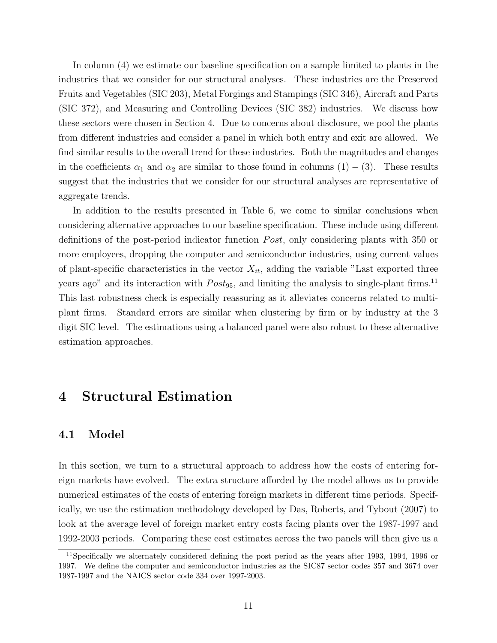In column (4) we estimate our baseline specification on a sample limited to plants in the industries that we consider for our structural analyses. These industries are the Preserved Fruits and Vegetables (SIC 203), Metal Forgings and Stampings (SIC 346), Aircraft and Parts (SIC 372), and Measuring and Controlling Devices (SIC 382) industries. We discuss how these sectors were chosen in Section 4. Due to concerns about disclosure, we pool the plants from different industries and consider a panel in which both entry and exit are allowed. We find similar results to the overall trend for these industries. Both the magnitudes and changes in the coefficients  $\alpha_1$  and  $\alpha_2$  are similar to those found in columns  $(1) - (3)$ . These results suggest that the industries that we consider for our structural analyses are representative of aggregate trends.

In addition to the results presented in Table 6, we come to similar conclusions when considering alternative approaches to our baseline specification. These include using different definitions of the post-period indicator function *Post*, only considering plants with 350 or more employees, dropping the computer and semiconductor industries, using current values of plant-specific characteristics in the vector  $X_{it}$ , adding the variable "Last exported three years ago" and its interaction with  $Post_{95}$ , and limiting the analysis to single-plant firms.<sup>11</sup> This last robustness check is especially reassuring as it alleviates concerns related to multiplant firms. Standard errors are similar when clustering by firm or by industry at the 3 digit SIC level. The estimations using a balanced panel were also robust to these alternative estimation approaches.

## 4 Structural Estimation

#### 4.1 Model

In this section, we turn to a structural approach to address how the costs of entering foreign markets have evolved. The extra structure afforded by the model allows us to provide numerical estimates of the costs of entering foreign markets in different time periods. Specifically, we use the estimation methodology developed by Das, Roberts, and Tybout (2007) to look at the average level of foreign market entry costs facing plants over the 1987-1997 and 1992-2003 periods. Comparing these cost estimates across the two panels will then give us a

<sup>11</sup>Specifically we alternately considered defining the post period as the years after 1993, 1994, 1996 or 1997. We define the computer and semiconductor industries as the SIC87 sector codes 357 and 3674 over 1987-1997 and the NAICS sector code 334 over 1997-2003.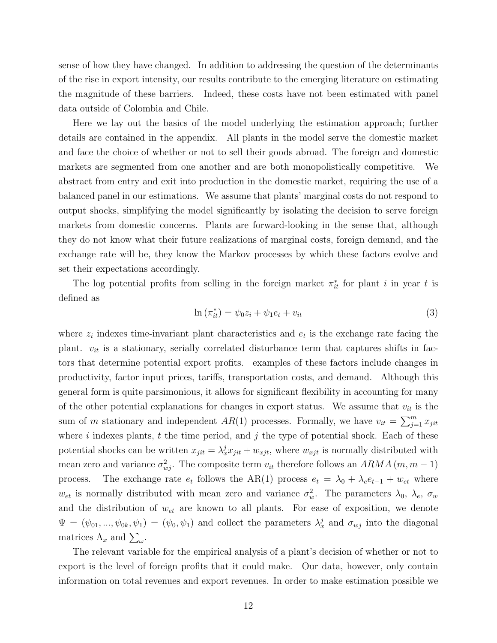sense of how they have changed. In addition to addressing the question of the determinants of the rise in export intensity, our results contribute to the emerging literature on estimating the magnitude of these barriers. Indeed, these costs have not been estimated with panel data outside of Colombia and Chile.

Here we lay out the basics of the model underlying the estimation approach; further details are contained in the appendix. All plants in the model serve the domestic market and face the choice of whether or not to sell their goods abroad. The foreign and domestic markets are segmented from one another and are both monopolistically competitive. We abstract from entry and exit into production in the domestic market, requiring the use of a balanced panel in our estimations. We assume that plants' marginal costs do not respond to output shocks, simplifying the model significantly by isolating the decision to serve foreign markets from domestic concerns. Plants are forward-looking in the sense that, although they do not know what their future realizations of marginal costs, foreign demand, and the exchange rate will be, they know the Markov processes by which these factors evolve and set their expectations accordingly.

The log potential profits from selling in the foreign market  $\pi_{it}^*$  for plant i in year t is defined as

$$
\ln\left(\pi_{it}^*\right) = \psi_0 z_i + \psi_1 e_t + v_{it} \tag{3}
$$

where  $z_i$  indexes time-invariant plant characteristics and  $e_t$  is the exchange rate facing the plant.  $v_{it}$  is a stationary, serially correlated disturbance term that captures shifts in factors that determine potential export profits. examples of these factors include changes in productivity, factor input prices, tariffs, transportation costs, and demand. Although this general form is quite parsimonious, it allows for significant flexibility in accounting for many of the other potential explanations for changes in export status. We assume that  $v_{it}$  is the sum of m stationary and independent  $AR(1)$  processes. Formally, we have  $v_{it} = \sum_{j=1}^{m} x_{jit}$ where  $i$  indexes plants,  $t$  the time period, and  $j$  the type of potential shock. Each of these potential shocks can be written  $x_{jit} = \lambda_x^j x_{jit} + w_{xjt}$ , where  $w_{xjt}$  is normally distributed with mean zero and variance  $\sigma_{wj}^2$ . The composite term  $v_{it}$  therefore follows an  $ARMA$  (m, m – 1) process. The exchange rate  $e_t$  follows the AR(1) process  $e_t = \lambda_0 + \lambda_e e_{t-1} + w_{et}$  where  $w_{et}$  is normally distributed with mean zero and variance  $\sigma_w^2$ . The parameters  $\lambda_0$ ,  $\lambda_e$ ,  $\sigma_w$ and the distribution of  $w_{et}$  are known to all plants. For ease of exposition, we denote  $\Psi = (\psi_{01}, ..., \psi_{0k}, \psi_1) = (\psi_0, \psi_1)$  and collect the parameters  $\lambda_x^j$  and  $\sigma_{xy}$  into the diagonal matrices  $\Lambda_x$  and  $\sum_{\omega}$ .

The relevant variable for the empirical analysis of a plant's decision of whether or not to export is the level of foreign profits that it could make. Our data, however, only contain information on total revenues and export revenues. In order to make estimation possible we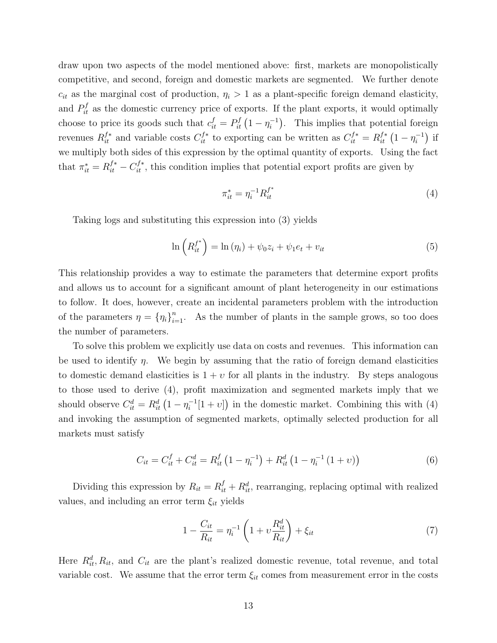draw upon two aspects of the model mentioned above: first, markets are monopolistically competitive, and second, foreign and domestic markets are segmented. We further denote  $c_{it}$  as the marginal cost of production,  $\eta_i > 1$  as a plant-specific foreign demand elasticity, and  $P_{it}^f$  as the domestic currency price of exports. If the plant exports, it would optimally choose to price its goods such that  $c_{it}^f = P_{it}^f (1 - \eta_i^{-1})$  $i^{-1}$ ). This implies that potential foreign revenues  $R_{it}^{f*}$  and variable costs  $C_{it}^{f*}$  to exporting can be written as  $C_{it}^{f*} = R_{it}^{f*} (1 - \eta_i^{-1})$  $\binom{-1}{i}$  if we multiply both sides of this expression by the optimal quantity of exports. Using the fact that  $\pi_{it}^* = R_{it}^{f*} - C_{it}^{f*}$ , this condition implies that potential export profits are given by

$$
\pi_{it}^* = \eta_i^{-1} R_{it}^{f^*}
$$
\n(4)

Taking logs and substituting this expression into (3) yields

$$
\ln\left(R_{it}^{f^*}\right) = \ln\left(\eta_i\right) + \psi_0 z_i + \psi_1 e_t + v_{it} \tag{5}
$$

This relationship provides a way to estimate the parameters that determine export profits and allows us to account for a significant amount of plant heterogeneity in our estimations to follow. It does, however, create an incidental parameters problem with the introduction of the parameters  $\eta = {\eta_i}_{i=1}^n$ . As the number of plants in the sample grows, so too does the number of parameters.

To solve this problem we explicitly use data on costs and revenues. This information can be used to identify  $\eta$ . We begin by assuming that the ratio of foreign demand elasticities to domestic demand elasticities is  $1 + v$  for all plants in the industry. By steps analogous to those used to derive (4), profit maximization and segmented markets imply that we should observe  $C_{it}^d = R_{it}^d \left(1 - \eta_i^{-1}\right)$  $i^{-1}[1+v]$  in the domestic market. Combining this with (4) and invoking the assumption of segmented markets, optimally selected production for all markets must satisfy

$$
C_{it} = C_{it}^f + C_{it}^d = R_{it}^f \left( 1 - \eta_i^{-1} \right) + R_{it}^d \left( 1 - \eta_i^{-1} \left( 1 + v \right) \right) \tag{6}
$$

Dividing this expression by  $R_{it} = R_{it}^f + R_{it}^d$ , rearranging, replacing optimal with realized values, and including an error term  $\xi_{it}$  yields

$$
1 - \frac{C_{it}}{R_{it}} = \eta_i^{-1} \left( 1 + \nu \frac{R_{it}^d}{R_{it}} \right) + \xi_{it}
$$
 (7)

Here  $R_{it}^d$ ,  $R_{it}$ , and  $C_{it}$  are the plant's realized domestic revenue, total revenue, and total variable cost. We assume that the error term  $\xi_{it}$  comes from measurement error in the costs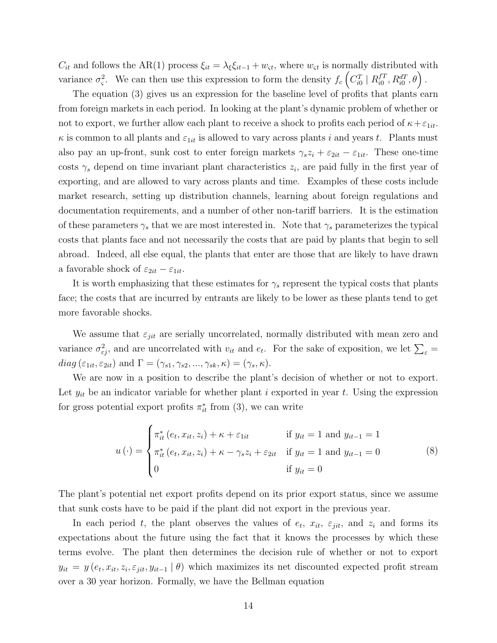$C_{it}$  and follows the AR(1) process  $\xi_{it} = \lambda_{\xi} \xi_{it-1} + w_{\xi}$ , where  $w_{\xi}$  is normally distributed with variance  $\sigma_{\varsigma}^2$ . We can then use this expression to form the density  $f_c \left( C_{i0}^T \mid R_{i0}^{fT} \right)$  $_{i0}^{fT},R_{i0}^{dT},\theta\Big)$  .

The equation (3) gives us an expression for the baseline level of profits that plants earn from foreign markets in each period. In looking at the plant's dynamic problem of whether or not to export, we further allow each plant to receive a shock to profits each period of  $\kappa + \varepsilon_{1it}$ .  $\kappa$  is common to all plants and  $\varepsilon_{1it}$  is allowed to vary across plants i and years t. Plants must also pay an up-front, sunk cost to enter foreign markets  $\gamma_s z_i + \varepsilon_{2it} - \varepsilon_{1it}$ . These one-time costs  $\gamma_s$  depend on time invariant plant characteristics  $z_i$ , are paid fully in the first year of exporting, and are allowed to vary across plants and time. Examples of these costs include market research, setting up distribution channels, learning about foreign regulations and documentation requirements, and a number of other non-tariff barriers. It is the estimation of these parameters  $\gamma_s$  that we are most interested in. Note that  $\gamma_s$  parameterizes the typical costs that plants face and not necessarily the costs that are paid by plants that begin to sell abroad. Indeed, all else equal, the plants that enter are those that are likely to have drawn a favorable shock of  $\varepsilon_{2it} - \varepsilon_{1it}$ .

It is worth emphasizing that these estimates for  $\gamma_s$  represent the typical costs that plants face; the costs that are incurred by entrants are likely to be lower as these plants tend to get more favorable shocks.

We assume that  $\varepsilon_{jit}$  are serially uncorrelated, normally distributed with mean zero and variance  $\sigma_{\varepsilon j}^2$ , and are uncorrelated with  $v_{it}$  and  $e_t$ . For the sake of exposition, we let  $\sum_{\varepsilon}$  =  $diag(\varepsilon_{1it}, \varepsilon_{2it})$  and  $\Gamma = (\gamma_{s1}, \gamma_{s2}, ..., \gamma_{sk}, \kappa) = (\gamma_s, \kappa).$ 

We are now in a position to describe the plant's decision of whether or not to export. Let  $y_{it}$  be an indicator variable for whether plant i exported in year t. Using the expression for gross potential export profits  $\pi_{it}^*$  from (3), we can write

$$
u(\cdot) = \begin{cases} \pi_{it}^{*} (e_t, x_{it}, z_i) + \kappa + \varepsilon_{1it} & \text{if } y_{it} = 1 \text{ and } y_{it-1} = 1 \\ \pi_{it}^{*} (e_t, x_{it}, z_i) + \kappa - \gamma_s z_i + \varepsilon_{2it} & \text{if } y_{it} = 1 \text{ and } y_{it-1} = 0 \\ 0 & \text{if } y_{it} = 0 \end{cases}
$$
 (8)

The plant's potential net export profits depend on its prior export status, since we assume that sunk costs have to be paid if the plant did not export in the previous year.

In each period t, the plant observes the values of  $e_t$ ,  $x_{it}$ ,  $\varepsilon_{jit}$ , and  $z_i$  and forms its expectations about the future using the fact that it knows the processes by which these terms evolve. The plant then determines the decision rule of whether or not to export  $y_{it} = y(e_t, x_{it}, z_i, \varepsilon_{jit}, y_{it-1} | \theta)$  which maximizes its net discounted expected profit stream over a 30 year horizon. Formally, we have the Bellman equation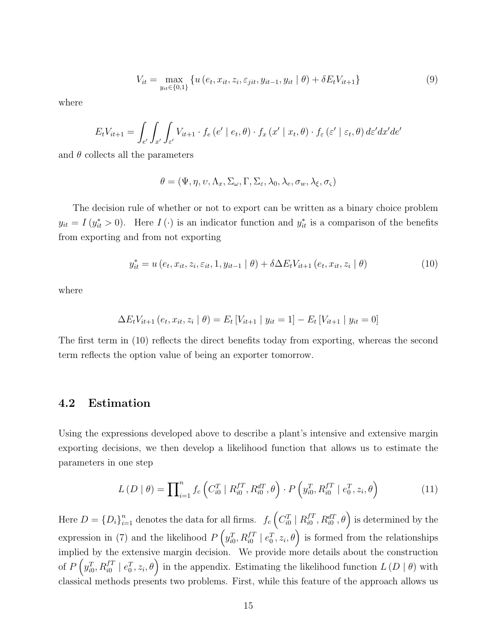$$
V_{it} = \max_{y_{it} \in \{0,1\}} \left\{ u\left(e_t, x_{it}, z_i, \varepsilon_{jit}, y_{it-1}, y_{it} \mid \theta\right) + \delta E_t V_{it+1} \right\}
$$
(9)

where

$$
E_t V_{it+1} = \int_{e'} \int_{x'} \int_{\varepsilon'} V_{it+1} \cdot f_e(e' \mid e_t, \theta) \cdot f_x(x' \mid x_t, \theta) \cdot f_{\varepsilon}(\varepsilon' \mid \varepsilon_t, \theta) d\varepsilon' dx' de'
$$

and  $\theta$  collects all the parameters

$$
\theta = (\Psi, \eta, \upsilon, \Lambda_x, \Sigma_\omega, \Gamma, \Sigma_\varepsilon, \lambda_0, \lambda_e, \sigma_w, \lambda_\xi, \sigma_\varsigma)
$$

The decision rule of whether or not to export can be written as a binary choice problem  $y_{it} = I(y_{it}^* > 0)$ . Here  $I(\cdot)$  is an indicator function and  $y_{it}^*$  is a comparison of the benefits from exporting and from not exporting

$$
y_{it}^{*} = u(e_t, x_{it}, z_i, \varepsilon_{it}, 1, y_{it-1} | \theta) + \delta \Delta E_t V_{it+1}(e_t, x_{it}, z_i | \theta)
$$
\n(10)

where

$$
\Delta E_t V_{it+1} (e_t, x_{it}, z_i | \theta) = E_t [V_{it+1} | y_{it} = 1] - E_t [V_{it+1} | y_{it} = 0]
$$

The first term in (10) reflects the direct benefits today from exporting, whereas the second term reflects the option value of being an exporter tomorrow.

#### 4.2 Estimation

Using the expressions developed above to describe a plant's intensive and extensive margin exporting decisions, we then develop a likelihood function that allows us to estimate the parameters in one step

$$
L(D | \theta) = \prod_{i=1}^{n} f_c \left( C_{i0}^T | R_{i0}^{fT}, R_{i0}^{dT}, \theta \right) \cdot P \left( y_{i0}^T, R_{i0}^{fT} | e_0^T, z_i, \theta \right)
$$
(11)

Here  $D = \{D_i\}_{i=1}^n$  denotes the data for all firms.  $f_c \left(C_{i0}^T \mid R_{i0}^{fT}\right)$  $\left( \begin{smallmatrix} fT \ i0 \end{smallmatrix} , R^{dT}_{i0}, \theta \right)$  is determined by the expression in (7) and the likelihood  $P\left(y_{i0}^T, R_{i0}^{fT} \mid e_0^T, z_i, \theta\right)$  is formed from the relationships implied by the extensive margin decision. We provide more details about the construction of  $P\left(y_{i0}^T, R_{i0}^{f} \mid e_0^T, z_i, \theta\right)$  in the appendix. Estimating the likelihood function  $L\left(D \mid \theta\right)$  with classical methods presents two problems. First, while this feature of the approach allows us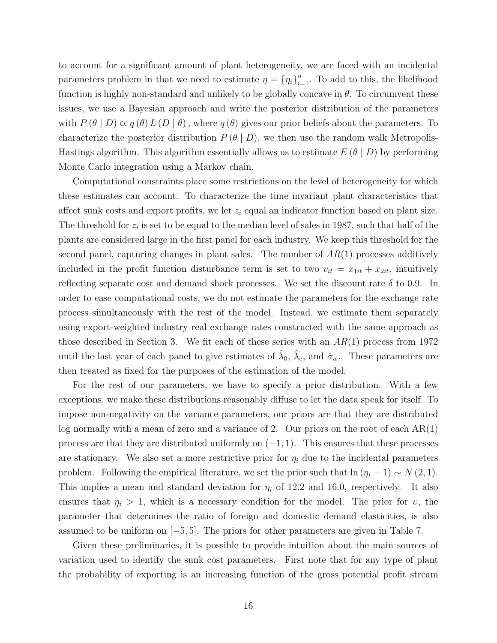to account for a significant amount of plant heterogeneity, we are faced with an incidental parameters problem in that we need to estimate  $\eta = {\eta_i}_{i=1}^n$ . To add to this, the likelihood function is highly non-standard and unlikely to be globally concave in  $\theta$ . To circumvent these issues, we use a Bayesian approach and write the posterior distribution of the parameters with  $P(\theta | D) \propto q(\theta) L(D | \theta)$ , where  $q(\theta)$  gives our prior beliefs about the parameters. To characterize the posterior distribution  $P(\theta | D)$ , we then use the random walk Metropolis-Hastings algorithm. This algorithm essentially allows us to estimate  $E(\theta | D)$  by performing Monte Carlo integration using a Markov chain.

Computational constraints place some restrictions on the level of heterogeneity for which these estimates can account. To characterize the time invariant plant characteristics that affect sunk costs and export profits, we let  $z_i$  equal an indicator function based on plant size. The threshold for  $z_i$  is set to be equal to the median level of sales in 1987, such that half of the plants are considered large in the first panel for each industry. We keep this threshold for the second panel, capturing changes in plant sales. The number of  $AR(1)$  processes additively included in the profit function disturbance term is set to two  $v_{it} = x_{1it} + x_{2it}$ , intuitively reflecting separate cost and demand shock processes. We set the discount rate  $\delta$  to 0.9. In order to ease computational costs, we do not estimate the parameters for the exchange rate process simultaneously with the rest of the model. Instead, we estimate them separately using export-weighted industry real exchange rates constructed with the same approach as those described in Section 3. We fit each of these series with an  $AR(1)$  process from 1972 until the last year of each panel to give estimates of  $\hat{\lambda}_0$ ,  $\hat{\lambda}_e$ , and  $\hat{\sigma}_w$ . These parameters are then treated as fixed for the purposes of the estimation of the model.

For the rest of our parameters, we have to specify a prior distribution. With a few exceptions, we make these distributions reasonably diffuse to let the data speak for itself. To impose non-negativity on the variance parameters, our priors are that they are distributed log normally with a mean of zero and a variance of 2. Our priors on the root of each  $AR(1)$ process are that they are distributed uniformly on  $(-1, 1)$ . This ensures that these processes are stationary. We also set a more restrictive prior for  $\eta_i$  due to the incidental parameters problem. Following the empirical literature, we set the prior such that  $\ln(\eta_i - 1) \sim N(2, 1)$ . This implies a mean and standard deviation for  $\eta_i$  of 12.2 and 16.0, respectively. It also ensures that  $\eta_i > 1$ , which is a necessary condition for the model. The prior for v, the parameter that determines the ratio of foreign and domestic demand elasticities, is also assumed to be uniform on [−5, 5]. The priors for other parameters are given in Table 7.

Given these preliminaries, it is possible to provide intuition about the main sources of variation used to identify the sunk cost parameters. First note that for any type of plant the probability of exporting is an increasing function of the gross potential profit stream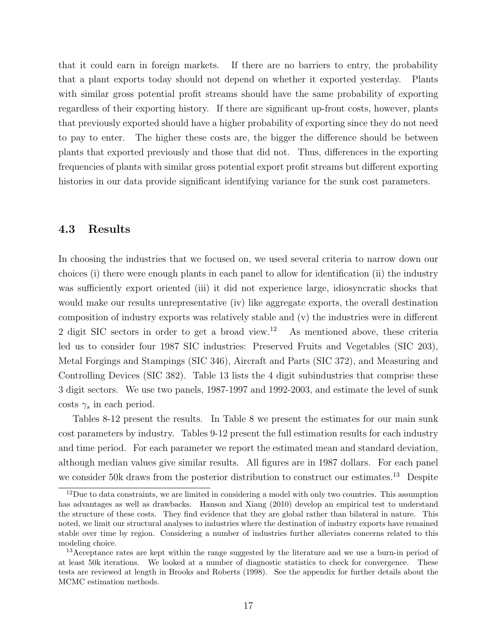that it could earn in foreign markets. If there are no barriers to entry, the probability that a plant exports today should not depend on whether it exported yesterday. Plants with similar gross potential profit streams should have the same probability of exporting regardless of their exporting history. If there are significant up-front costs, however, plants that previously exported should have a higher probability of exporting since they do not need to pay to enter. The higher these costs are, the bigger the difference should be between plants that exported previously and those that did not. Thus, differences in the exporting frequencies of plants with similar gross potential export profit streams but different exporting histories in our data provide significant identifying variance for the sunk cost parameters.

#### 4.3 Results

In choosing the industries that we focused on, we used several criteria to narrow down our choices (i) there were enough plants in each panel to allow for identification (ii) the industry was sufficiently export oriented (iii) it did not experience large, idiosyncratic shocks that would make our results unrepresentative (iv) like aggregate exports, the overall destination composition of industry exports was relatively stable and (v) the industries were in different 2 digit SIC sectors in order to get a broad view.<sup>12</sup> As mentioned above, these criteria led us to consider four 1987 SIC industries: Preserved Fruits and Vegetables (SIC 203), Metal Forgings and Stampings (SIC 346), Aircraft and Parts (SIC 372), and Measuring and Controlling Devices (SIC 382). Table 13 lists the 4 digit subindustries that comprise these 3 digit sectors. We use two panels, 1987-1997 and 1992-2003, and estimate the level of sunk costs  $\gamma_s$  in each period.

Tables 8-12 present the results. In Table 8 we present the estimates for our main sunk cost parameters by industry. Tables 9-12 present the full estimation results for each industry and time period. For each parameter we report the estimated mean and standard deviation, although median values give similar results. All figures are in 1987 dollars. For each panel we consider 50k draws from the posterior distribution to construct our estimates.<sup>13</sup> Despite

 $12$ Due to data constraints, we are limited in considering a model with only two countries. This assumption has advantages as well as drawbacks. Hanson and Xiang (2010) develop an empirical test to understand the structure of these costs. They find evidence that they are global rather than bilateral in nature. This noted, we limit our structural analyses to industries where the destination of industry exports have remained stable over time by region. Considering a number of industries further alleviates concerns related to this modeling choice.

<sup>13</sup>Acceptance rates are kept within the range suggested by the literature and we use a burn-in period of at least 50k iterations. We looked at a number of diagnostic statistics to check for convergence. These tests are reviewed at length in Brooks and Roberts (1998). See the appendix for further details about the MCMC estimation methods.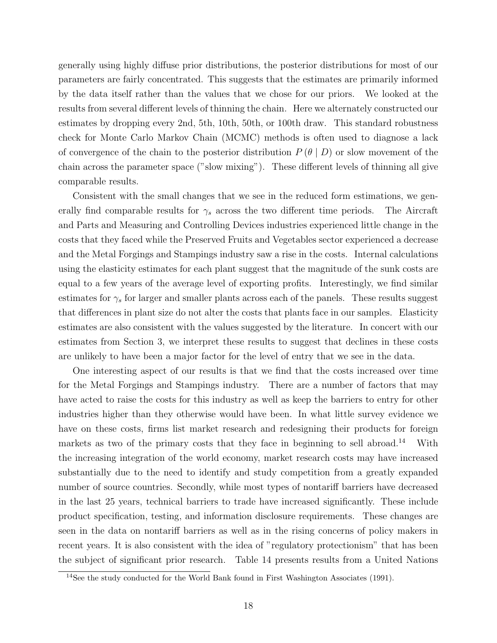generally using highly diffuse prior distributions, the posterior distributions for most of our parameters are fairly concentrated. This suggests that the estimates are primarily informed by the data itself rather than the values that we chose for our priors. We looked at the results from several different levels of thinning the chain. Here we alternately constructed our estimates by dropping every 2nd, 5th, 10th, 50th, or 100th draw. This standard robustness check for Monte Carlo Markov Chain (MCMC) methods is often used to diagnose a lack of convergence of the chain to the posterior distribution  $P(\theta | D)$  or slow movement of the chain across the parameter space ("slow mixing"). These different levels of thinning all give comparable results.

Consistent with the small changes that we see in the reduced form estimations, we generally find comparable results for  $\gamma_s$  across the two different time periods. The Aircraft and Parts and Measuring and Controlling Devices industries experienced little change in the costs that they faced while the Preserved Fruits and Vegetables sector experienced a decrease and the Metal Forgings and Stampings industry saw a rise in the costs. Internal calculations using the elasticity estimates for each plant suggest that the magnitude of the sunk costs are equal to a few years of the average level of exporting profits. Interestingly, we find similar estimates for  $\gamma_s$  for larger and smaller plants across each of the panels. These results suggest that differences in plant size do not alter the costs that plants face in our samples. Elasticity estimates are also consistent with the values suggested by the literature. In concert with our estimates from Section 3, we interpret these results to suggest that declines in these costs are unlikely to have been a major factor for the level of entry that we see in the data.

One interesting aspect of our results is that we find that the costs increased over time for the Metal Forgings and Stampings industry. There are a number of factors that may have acted to raise the costs for this industry as well as keep the barriers to entry for other industries higher than they otherwise would have been. In what little survey evidence we have on these costs, firms list market research and redesigning their products for foreign markets as two of the primary costs that they face in beginning to sell abroad.<sup>14</sup> With the increasing integration of the world economy, market research costs may have increased substantially due to the need to identify and study competition from a greatly expanded number of source countries. Secondly, while most types of nontariff barriers have decreased in the last 25 years, technical barriers to trade have increased significantly. These include product specification, testing, and information disclosure requirements. These changes are seen in the data on nontariff barriers as well as in the rising concerns of policy makers in recent years. It is also consistent with the idea of "regulatory protectionism" that has been the subject of significant prior research. Table 14 presents results from a United Nations

<sup>&</sup>lt;sup>14</sup>See the study conducted for the World Bank found in First Washington Associates (1991).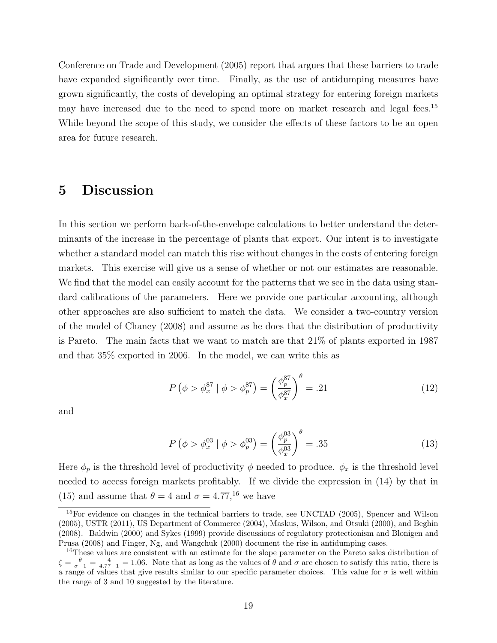Conference on Trade and Development (2005) report that argues that these barriers to trade have expanded significantly over time. Finally, as the use of antidumping measures have grown significantly, the costs of developing an optimal strategy for entering foreign markets may have increased due to the need to spend more on market research and legal fees.<sup>15</sup> While beyond the scope of this study, we consider the effects of these factors to be an open area for future research.

## 5 Discussion

In this section we perform back-of-the-envelope calculations to better understand the determinants of the increase in the percentage of plants that export. Our intent is to investigate whether a standard model can match this rise without changes in the costs of entering foreign markets. This exercise will give us a sense of whether or not our estimates are reasonable. We find that the model can easily account for the patterns that we see in the data using standard calibrations of the parameters. Here we provide one particular accounting, although other approaches are also sufficient to match the data. We consider a two-country version of the model of Chaney (2008) and assume as he does that the distribution of productivity is Pareto. The main facts that we want to match are that 21% of plants exported in 1987 and that 35% exported in 2006. In the model, we can write this as

$$
P(\phi > \phi_x^{87} | \phi > \phi_p^{87}) = \left(\frac{\phi_p^{87}}{\phi_x^{87}}\right)^{\theta} = .21
$$
 (12)

and

$$
P(\phi > \phi_x^{03} | \phi > \phi_p^{03}) = \left(\frac{\phi_p^{03}}{\phi_x^{03}}\right)^{\theta} = .35
$$
 (13)

Here  $\phi_p$  is the threshold level of productivity  $\phi$  needed to produce.  $\phi_x$  is the threshold level needed to access foreign markets profitably. If we divide the expression in (14) by that in (15) and assume that  $\theta = 4$  and  $\sigma = 4.77$ ,<sup>16</sup> we have

<sup>&</sup>lt;sup>15</sup>For evidence on changes in the technical barriers to trade, see UNCTAD (2005), Spencer and Wilson (2005), USTR (2011), US Department of Commerce (2004), Maskus, Wilson, and Otsuki (2000), and Beghin (2008). Baldwin (2000) and Sykes (1999) provide discussions of regulatory protectionism and Blonigen and Prusa (2008) and Finger, Ng, and Wangchuk (2000) document the rise in antidumping cases.

<sup>16</sup>These values are consistent with an estimate for the slope parameter on the Pareto sales distribution of  $\zeta = \frac{\theta}{\sigma - 1} = \frac{4}{4.77 - 1} = 1.06$ . Note that as long as the values of  $\theta$  and  $\sigma$  are chosen to satisfy this ratio, there is a range of values that give results similar to our specific parameter choices. This value for  $\sigma$  is well within the range of 3 and 10 suggested by the literature.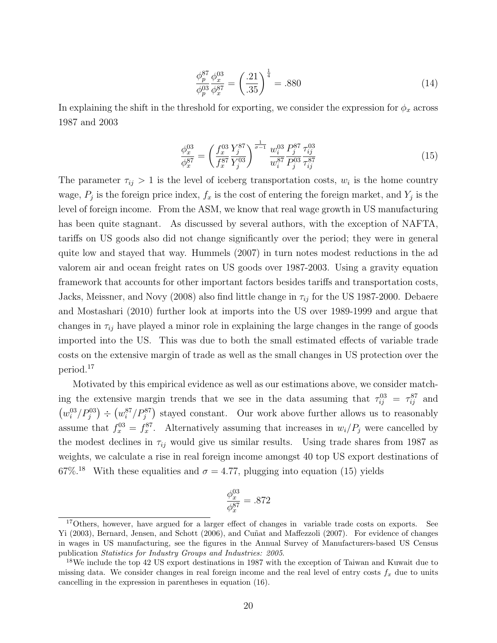$$
\frac{\phi_p^{87}}{\phi_p^{03}} \frac{\phi_x^{03}}{\phi_x^{87}} = \left(\frac{.21}{.35}\right)^{\frac{1}{4}} = .880\tag{14}
$$

In explaining the shift in the threshold for exporting, we consider the expression for  $\phi_x$  across 1987 and 2003

$$
\frac{\phi_x^{03}}{\phi_x^{87}} = \left(\frac{f_x^{03}}{f_x^{87}} \frac{Y_j^{87}}{Y_j^{03}}\right)^{\frac{1}{\sigma - 1}} \frac{w_i^{03}}{w_i^{87}} \frac{P_j^{87}}{P_j^{03}} \frac{\tau_{ij}^{03}}{\tau_{ij}^{87}} \tag{15}
$$

The parameter  $\tau_{ij} > 1$  is the level of iceberg transportation costs,  $w_i$  is the home country wage,  $P_j$  is the foreign price index,  $f_x$  is the cost of entering the foreign market, and  $Y_j$  is the level of foreign income. From the ASM, we know that real wage growth in US manufacturing has been quite stagnant. As discussed by several authors, with the exception of NAFTA, tariffs on US goods also did not change significantly over the period; they were in general quite low and stayed that way. Hummels (2007) in turn notes modest reductions in the ad valorem air and ocean freight rates on US goods over 1987-2003. Using a gravity equation framework that accounts for other important factors besides tariffs and transportation costs, Jacks, Meissner, and Novy (2008) also find little change in  $\tau_{ij}$  for the US 1987-2000. Debaere and Mostashari (2010) further look at imports into the US over 1989-1999 and argue that changes in  $\tau_{ij}$  have played a minor role in explaining the large changes in the range of goods imported into the US. This was due to both the small estimated effects of variable trade costs on the extensive margin of trade as well as the small changes in US protection over the period.<sup>17</sup>

Motivated by this empirical evidence as well as our estimations above, we consider matching the extensive margin trends that we see in the data assuming that  $\tau_{ij}^{03} = \tau_{ij}^{87}$  and  $(w_i^{03}/P_j^{03}) \div (w_i^{87}/P_j^{87})$  stayed constant. Our work above further allows us to reasonably assume that  $f_x^{03} = f_x^{87}$ . Alternatively assuming that increases in  $w_i/P_j$  were cancelled by the modest declines in  $\tau_{ij}$  would give us similar results. Using trade shares from 1987 as weights, we calculate a rise in real foreign income amongst 40 top US export destinations of 67%<sup>18</sup> With these equalities and  $\sigma = 4.77$ , plugging into equation (15) yields

$$
\frac{\phi_x^{03}}{\phi_x^{87}}=.872
$$

<sup>&</sup>lt;sup>17</sup>Others, however, have argued for a larger effect of changes in variable trade costs on exports. See Yi (2003), Bernard, Jensen, and Schott (2006), and Cuñat and Maffezzoli (2007). For evidence of changes in wages in US manufacturing, see the figures in the Annual Survey of Manufacturers-based US Census publication Statistics for Industry Groups and Industries: 2005.

<sup>&</sup>lt;sup>18</sup>We include the top 42 US export destinations in 1987 with the exception of Taiwan and Kuwait due to missing data. We consider changes in real foreign income and the real level of entry costs  $f_x$  due to units cancelling in the expression in parentheses in equation (16).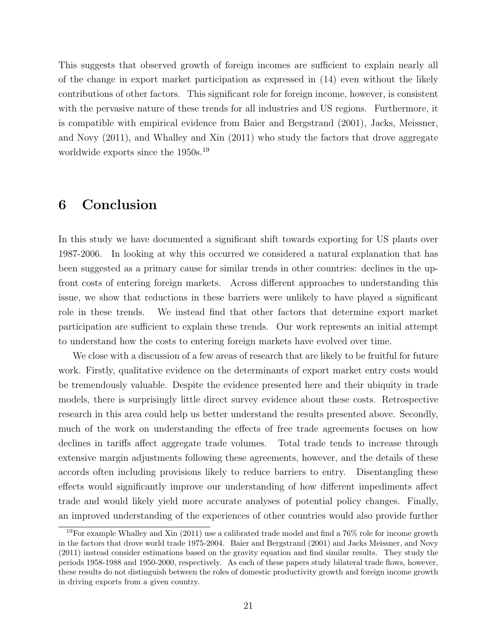This suggests that observed growth of foreign incomes are sufficient to explain nearly all of the change in export market participation as expressed in (14) even without the likely contributions of other factors. This significant role for foreign income, however, is consistent with the pervasive nature of these trends for all industries and US regions. Furthermore, it is compatible with empirical evidence from Baier and Bergstrand (2001), Jacks, Meissner, and Novy (2011), and Whalley and Xin (2011) who study the factors that drove aggregate worldwide exports since the 1950s.<sup>19</sup>

### 6 Conclusion

In this study we have documented a significant shift towards exporting for US plants over 1987-2006. In looking at why this occurred we considered a natural explanation that has been suggested as a primary cause for similar trends in other countries: declines in the upfront costs of entering foreign markets. Across different approaches to understanding this issue, we show that reductions in these barriers were unlikely to have played a significant role in these trends. We instead find that other factors that determine export market participation are sufficient to explain these trends. Our work represents an initial attempt to understand how the costs to entering foreign markets have evolved over time.

We close with a discussion of a few areas of research that are likely to be fruitful for future work. Firstly, qualitative evidence on the determinants of export market entry costs would be tremendously valuable. Despite the evidence presented here and their ubiquity in trade models, there is surprisingly little direct survey evidence about these costs. Retrospective research in this area could help us better understand the results presented above. Secondly, much of the work on understanding the effects of free trade agreements focuses on how declines in tariffs affect aggregate trade volumes. Total trade tends to increase through extensive margin adjustments following these agreements, however, and the details of these accords often including provisions likely to reduce barriers to entry. Disentangling these effects would significantly improve our understanding of how different impediments affect trade and would likely yield more accurate analyses of potential policy changes. Finally, an improved understanding of the experiences of other countries would also provide further

<sup>&</sup>lt;sup>19</sup>For example Whalley and Xin (2011) use a calibrated trade model and find a  $76\%$  role for income growth in the factors that drove world trade 1975-2004. Baier and Bergstrand (2001) and Jacks Meissner, and Novy (2011) instead consider estimations based on the gravity equation and find similar results. They study the periods 1958-1988 and 1950-2000, respectively. As each of these papers study bilateral trade flows, however, these results do not distinguish between the roles of domestic productivity growth and foreign income growth in driving exports from a given country.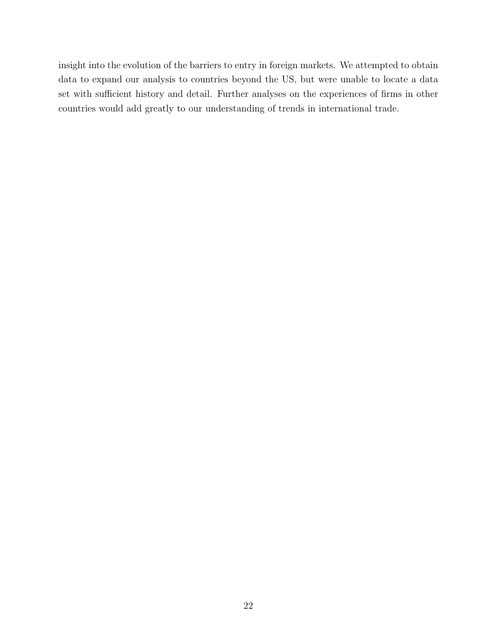insight into the evolution of the barriers to entry in foreign markets. We attempted to obtain data to expand our analysis to countries beyond the US, but were unable to locate a data set with sufficient history and detail. Further analyses on the experiences of firms in other countries would add greatly to our understanding of trends in international trade.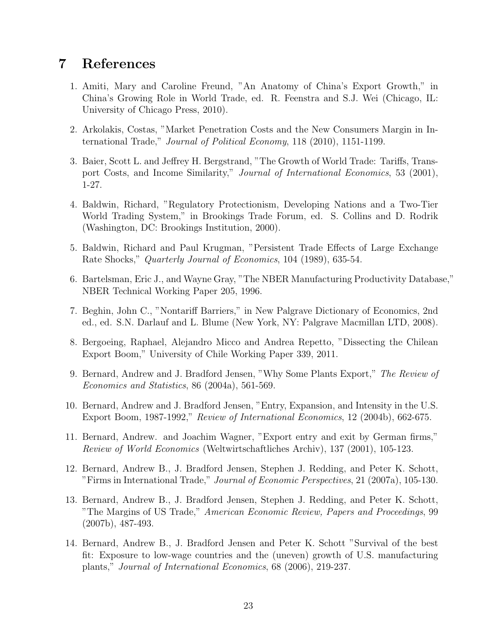## 7 References

- 1. Amiti, Mary and Caroline Freund, "An Anatomy of China's Export Growth," in China's Growing Role in World Trade, ed. R. Feenstra and S.J. Wei (Chicago, IL: University of Chicago Press, 2010).
- 2. Arkolakis, Costas, "Market Penetration Costs and the New Consumers Margin in International Trade," Journal of Political Economy, 118 (2010), 1151-1199.
- 3. Baier, Scott L. and Jeffrey H. Bergstrand, "The Growth of World Trade: Tariffs, Transport Costs, and Income Similarity," Journal of International Economics, 53 (2001), 1-27.
- 4. Baldwin, Richard, "Regulatory Protectionism, Developing Nations and a Two-Tier World Trading System," in Brookings Trade Forum, ed. S. Collins and D. Rodrik (Washington, DC: Brookings Institution, 2000).
- 5. Baldwin, Richard and Paul Krugman, "Persistent Trade Effects of Large Exchange Rate Shocks," Quarterly Journal of Economics, 104 (1989), 635-54.
- 6. Bartelsman, Eric J., and Wayne Gray, "The NBER Manufacturing Productivity Database," NBER Technical Working Paper 205, 1996.
- 7. Beghin, John C., "Nontariff Barriers," in New Palgrave Dictionary of Economics, 2nd ed., ed. S.N. Darlauf and L. Blume (New York, NY: Palgrave Macmillan LTD, 2008).
- 8. Bergoeing, Raphael, Alejandro Micco and Andrea Repetto, "Dissecting the Chilean Export Boom," University of Chile Working Paper 339, 2011.
- 9. Bernard, Andrew and J. Bradford Jensen, "Why Some Plants Export," The Review of Economics and Statistics, 86 (2004a), 561-569.
- 10. Bernard, Andrew and J. Bradford Jensen, "Entry, Expansion, and Intensity in the U.S. Export Boom, 1987-1992," Review of International Economics, 12 (2004b), 662-675.
- 11. Bernard, Andrew. and Joachim Wagner, "Export entry and exit by German firms," Review of World Economics (Weltwirtschaftliches Archiv), 137 (2001), 105-123.
- 12. Bernard, Andrew B., J. Bradford Jensen, Stephen J. Redding, and Peter K. Schott, "Firms in International Trade," Journal of Economic Perspectives, 21 (2007a), 105-130.
- 13. Bernard, Andrew B., J. Bradford Jensen, Stephen J. Redding, and Peter K. Schott, "The Margins of US Trade," American Economic Review, Papers and Proceedings, 99 (2007b), 487-493.
- 14. Bernard, Andrew B., J. Bradford Jensen and Peter K. Schott "Survival of the best fit: Exposure to low-wage countries and the (uneven) growth of U.S. manufacturing plants," Journal of International Economics, 68 (2006), 219-237.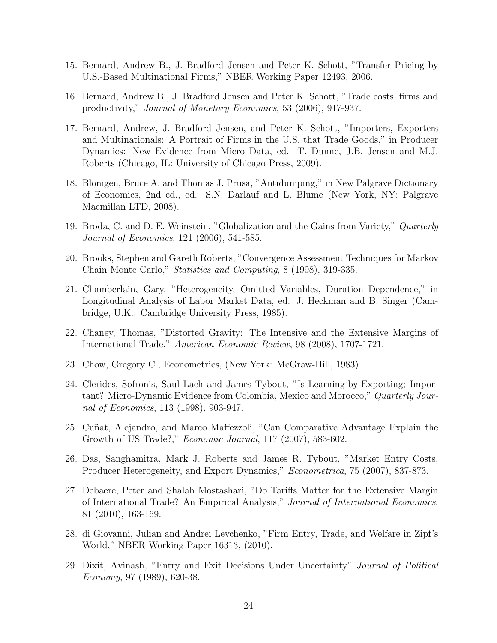- 15. Bernard, Andrew B., J. Bradford Jensen and Peter K. Schott, "Transfer Pricing by U.S.-Based Multinational Firms," NBER Working Paper 12493, 2006.
- 16. Bernard, Andrew B., J. Bradford Jensen and Peter K. Schott, "Trade costs, firms and productivity," Journal of Monetary Economics, 53 (2006), 917-937.
- 17. Bernard, Andrew, J. Bradford Jensen, and Peter K. Schott, "Importers, Exporters and Multinationals: A Portrait of Firms in the U.S. that Trade Goods," in Producer Dynamics: New Evidence from Micro Data, ed. T. Dunne, J.B. Jensen and M.J. Roberts (Chicago, IL: University of Chicago Press, 2009).
- 18. Blonigen, Bruce A. and Thomas J. Prusa, "Antidumping," in New Palgrave Dictionary of Economics, 2nd ed., ed. S.N. Darlauf and L. Blume (New York, NY: Palgrave Macmillan LTD, 2008).
- 19. Broda, C. and D. E. Weinstein, "Globalization and the Gains from Variety," Quarterly Journal of Economics, 121 (2006), 541-585.
- 20. Brooks, Stephen and Gareth Roberts, "Convergence Assessment Techniques for Markov Chain Monte Carlo," Statistics and Computing, 8 (1998), 319-335.
- 21. Chamberlain, Gary, "Heterogeneity, Omitted Variables, Duration Dependence," in Longitudinal Analysis of Labor Market Data, ed. J. Heckman and B. Singer (Cambridge, U.K.: Cambridge University Press, 1985).
- 22. Chaney, Thomas, "Distorted Gravity: The Intensive and the Extensive Margins of International Trade," American Economic Review, 98 (2008), 1707-1721.
- 23. Chow, Gregory C., Econometrics, (New York: McGraw-Hill, 1983).
- 24. Clerides, Sofronis, Saul Lach and James Tybout, "Is Learning-by-Exporting; Important? Micro-Dynamic Evidence from Colombia, Mexico and Morocco," Quarterly Journal of Economics, 113 (1998), 903-947.
- 25. Cuñat, Alejandro, and Marco Maffezzoli, "Can Comparative Advantage Explain the Growth of US Trade?," Economic Journal, 117 (2007), 583-602.
- 26. Das, Sanghamitra, Mark J. Roberts and James R. Tybout, "Market Entry Costs, Producer Heterogeneity, and Export Dynamics," Econometrica, 75 (2007), 837-873.
- 27. Debaere, Peter and Shalah Mostashari, "Do Tariffs Matter for the Extensive Margin of International Trade? An Empirical Analysis," Journal of International Economics, 81 (2010), 163-169.
- 28. di Giovanni, Julian and Andrei Levchenko, "Firm Entry, Trade, and Welfare in Zipf's World," NBER Working Paper 16313, (2010).
- 29. Dixit, Avinash, "Entry and Exit Decisions Under Uncertainty" Journal of Political Economy, 97 (1989), 620-38.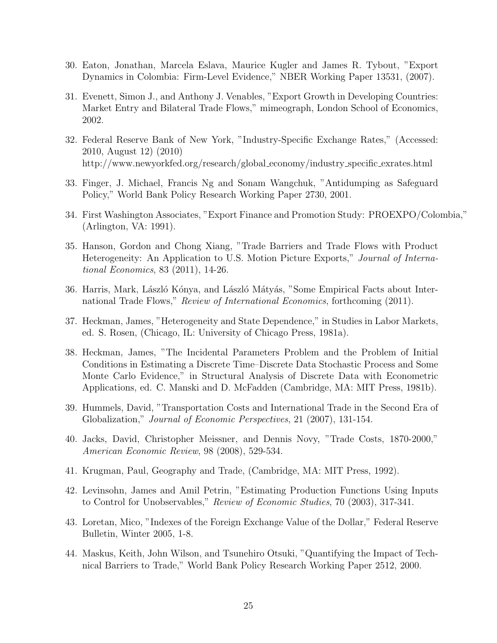- 30. Eaton, Jonathan, Marcela Eslava, Maurice Kugler and James R. Tybout, "Export Dynamics in Colombia: Firm-Level Evidence," NBER Working Paper 13531, (2007).
- 31. Evenett, Simon J., and Anthony J. Venables, "Export Growth in Developing Countries: Market Entry and Bilateral Trade Flows," mimeograph, London School of Economics, 2002.
- 32. Federal Reserve Bank of New York, "Industry-Specific Exchange Rates," (Accessed: 2010, August 12) (2010) http://www.newyorkfed.org/research/global economy/industry specific exrates.html
- 33. Finger, J. Michael, Francis Ng and Sonam Wangchuk, "Antidumping as Safeguard Policy," World Bank Policy Research Working Paper 2730, 2001.
- 34. First Washington Associates, "Export Finance and Promotion Study: PROEXPO/Colombia," (Arlington, VA: 1991).
- 35. Hanson, Gordon and Chong Xiang, "Trade Barriers and Trade Flows with Product Heterogeneity: An Application to U.S. Motion Picture Exports," Journal of International Economics, 83 (2011), 14-26.
- 36. Harris, Mark, László Kónya, and László Mátyás, "Some Empirical Facts about International Trade Flows," Review of International Economics, forthcoming (2011).
- 37. Heckman, James, "Heterogeneity and State Dependence," in Studies in Labor Markets, ed. S. Rosen, (Chicago, IL: University of Chicago Press, 1981a).
- 38. Heckman, James, "The Incidental Parameters Problem and the Problem of Initial Conditions in Estimating a Discrete Time–Discrete Data Stochastic Process and Some Monte Carlo Evidence," in Structural Analysis of Discrete Data with Econometric Applications, ed. C. Manski and D. McFadden (Cambridge, MA: MIT Press, 1981b).
- 39. Hummels, David, "Transportation Costs and International Trade in the Second Era of Globalization," Journal of Economic Perspectives, 21 (2007), 131-154.
- 40. Jacks, David, Christopher Meissner, and Dennis Novy, "Trade Costs, 1870-2000," American Economic Review, 98 (2008), 529-534.
- 41. Krugman, Paul, Geography and Trade, (Cambridge, MA: MIT Press, 1992).
- 42. Levinsohn, James and Amil Petrin, "Estimating Production Functions Using Inputs to Control for Unobservables," Review of Economic Studies, 70 (2003), 317-341.
- 43. Loretan, Mico, "Indexes of the Foreign Exchange Value of the Dollar," Federal Reserve Bulletin, Winter 2005, 1-8.
- 44. Maskus, Keith, John Wilson, and Tsunehiro Otsuki, "Quantifying the Impact of Technical Barriers to Trade," World Bank Policy Research Working Paper 2512, 2000.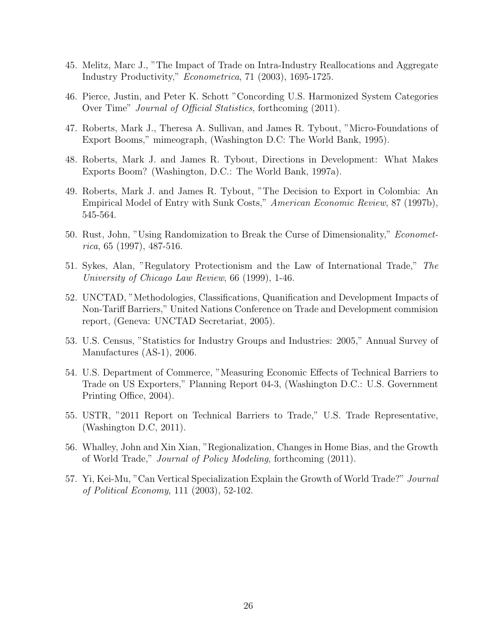- 45. Melitz, Marc J., "The Impact of Trade on Intra-Industry Reallocations and Aggregate Industry Productivity," Econometrica, 71 (2003), 1695-1725.
- 46. Pierce, Justin, and Peter K. Schott "Concording U.S. Harmonized System Categories Over Time" Journal of Official Statistics, forthcoming (2011).
- 47. Roberts, Mark J., Theresa A. Sullivan, and James R. Tybout, "Micro-Foundations of Export Booms," mimeograph, (Washington D.C: The World Bank, 1995).
- 48. Roberts, Mark J. and James R. Tybout, Directions in Development: What Makes Exports Boom? (Washington, D.C.: The World Bank, 1997a).
- 49. Roberts, Mark J. and James R. Tybout, "The Decision to Export in Colombia: An Empirical Model of Entry with Sunk Costs," American Economic Review, 87 (1997b), 545-564.
- 50. Rust, John, "Using Randomization to Break the Curse of Dimensionality," Economet $rica, 65 (1997), 487-516.$
- 51. Sykes, Alan, "Regulatory Protectionism and the Law of International Trade," The University of Chicago Law Review, 66 (1999), 1-46.
- 52. UNCTAD, "Methodologies, Classifications, Quanification and Development Impacts of Non-Tariff Barriers," United Nations Conference on Trade and Development commision report, (Geneva: UNCTAD Secretariat, 2005).
- 53. U.S. Census, "Statistics for Industry Groups and Industries: 2005," Annual Survey of Manufactures (AS-1), 2006.
- 54. U.S. Department of Commerce, "Measuring Economic Effects of Technical Barriers to Trade on US Exporters," Planning Report 04-3, (Washington D.C.: U.S. Government Printing Office, 2004).
- 55. USTR, "2011 Report on Technical Barriers to Trade," U.S. Trade Representative, (Washington D.C, 2011).
- 56. Whalley, John and Xin Xian, "Regionalization, Changes in Home Bias, and the Growth of World Trade," Journal of Policy Modeling, forthcoming (2011).
- 57. Yi, Kei-Mu, "Can Vertical Specialization Explain the Growth of World Trade?" Journal of Political Economy, 111 (2003), 52-102.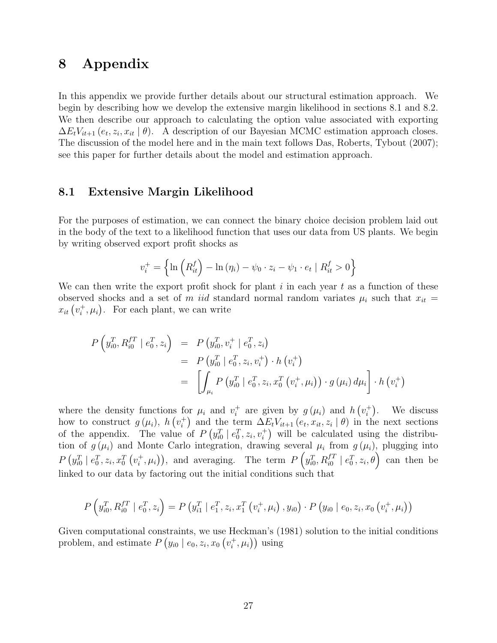## 8 Appendix

In this appendix we provide further details about our structural estimation approach. We begin by describing how we develop the extensive margin likelihood in sections 8.1 and 8.2. We then describe our approach to calculating the option value associated with exporting  $\Delta E_t V_{it+1}$   $(e_t, z_i, x_{it} | \theta)$ . A description of our Bayesian MCMC estimation approach closes. The discussion of the model here and in the main text follows Das, Roberts, Tybout (2007); see this paper for further details about the model and estimation approach.

#### 8.1 Extensive Margin Likelihood

For the purposes of estimation, we can connect the binary choice decision problem laid out in the body of the text to a likelihood function that uses our data from US plants. We begin by writing observed export profit shocks as

$$
v_i^+ = \left\{ \ln \left( R_{it}^f \right) - \ln \left( \eta_i \right) - \psi_0 \cdot z_i - \psi_1 \cdot e_t \mid R_{it}^f > 0 \right\}
$$

We can then write the export profit shock for plant  $i$  in each year  $t$  as a function of these observed shocks and a set of m iid standard normal random variates  $\mu_i$  such that  $x_{it}$  =  $x_{it}$   $(v_i^+)$  $i^+$ ,  $\mu_i$ ). For each plant, we can write

$$
P\left(y_{i0}^T, R_{i0}^{f} \mid e_0^T, z_i\right) = P\left(y_{i0}^T, v_i^+ \mid e_0^T, z_i\right)
$$
  
= 
$$
P\left(y_{i0}^T \mid e_0^T, z_i, v_i^+\right) \cdot h\left(v_i^+\right)
$$
  
= 
$$
\left[\int_{\mu_i} P\left(y_{i0}^T \mid e_0^T, z_i, x_0^T\left(v_i^+, \mu_i\right)\right) \cdot g\left(\mu_i\right) d\mu_i\right] \cdot h\left(v_i^+\right)
$$

where the density functions for  $\mu_i$  and  $v_i^+$ <sup>+</sup> are given by  $g(\mu_i)$  and  $h(v_i^+)$  $i$ <sup>+</sup>). We discuss how to construct  $g(\mu_i)$ ,  $h(v_i^+)$ <sup>+</sup>) and the term  $\Delta E_t V_{it+1} (e_t, x_{it}, z_i | \theta)$  in the next sections of the appendix. The value of  $P(y_{i0}^T | e_0^T, z_i, v_i^+)$  will be calculated using the distribution of  $g(\mu_i)$  and Monte Carlo integration, drawing several  $\mu_i$  from  $g(\mu_i)$ , plugging into  $P\left( y_{i0}^{T} \mid e_{0}^{T}, z_{i}, x_{0}^{T}\left( v_{i}^{+}\right. \right)$  $(i, \mu_i)$ , and averaging. The term  $P\left(y_{i0}^T, R_{i0}^{fT} \mid e_0^T, z_i, \theta\right)$  can then be linked to our data by factoring out the initial conditions such that

$$
P\left(y_{i0}^T, R_{i0}^{f T} \mid e_0^T, z_i\right) = P\left(y_{i1}^T \mid e_1^T, z_i, x_1^T\left(v_i^+, \mu_i\right), y_{i0}\right) \cdot P\left(y_{i0} \mid e_0, z_i, x_0\left(v_i^+, \mu_i\right)\right)
$$

Given computational constraints, we use Heckman's (1981) solution to the initial conditions problem, and estimate  $P(y_{i0} | e_0, z_i, x_0 (v_i^+))$  $(\vec{i}, \mu_i)$  using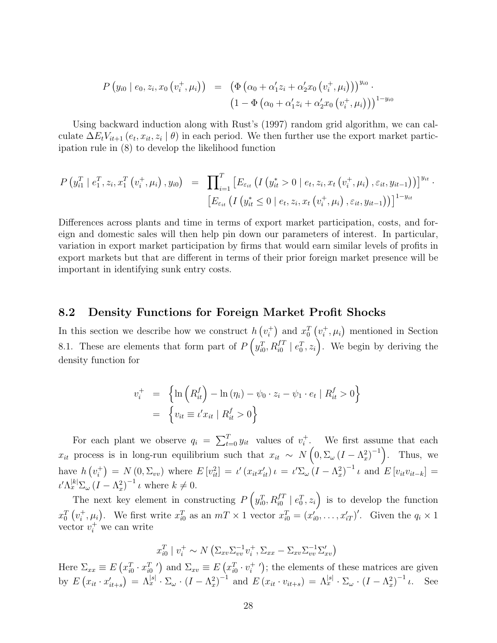$$
P(y_{i0} | e_0, z_i, x_0 (v_i^+, \mu_i)) = (\Phi(\alpha_0 + \alpha'_1 z_i + \alpha'_2 x_0 (v_i^+, \mu_i)))^{y_{i0}} \cdot (1 - \Phi(\alpha_0 + \alpha'_1 z_i + \alpha'_2 x_0 (v_i^+, \mu_i)))^{1-y_{i0}}
$$

Using backward induction along with Rust's (1997) random grid algorithm, we can calculate  $\Delta E_t V_{it+1}$   $(e_t, x_{it}, z_i | \theta)$  in each period. We then further use the export market participation rule in (8) to develop the likelihood function

$$
P(y_{i1}^T | e_1^T, z_i, x_1^T (v_i^+, \mu_i), y_{i0}) = \prod_{i=1}^T \left[ E_{\varepsilon_{it}} \left( I(y_{it}^* > 0 | e_t, z_i, x_t (v_i^+, \mu_i), \varepsilon_{it}, y_{it-1}) \right) \right]^{y_{it}} \cdot \left[ E_{\varepsilon_{it}} \left( I(y_{it}^* \le 0 | e_t, z_i, x_t (v_i^+, \mu_i), \varepsilon_{it}, y_{it-1}) \right) \right]^{1-y_{it}}
$$

Differences across plants and time in terms of export market participation, costs, and foreign and domestic sales will then help pin down our parameters of interest. In particular, variation in export market participation by firms that would earn similar levels of profits in export markets but that are different in terms of their prior foreign market presence will be important in identifying sunk entry costs.

#### 8.2 Density Functions for Foreign Market Profit Shocks

In this section we describe how we construct  $h(v_i^+)$  $x_i^+$  and  $x_0^T$   $(v_i^+$  $\mu_i^+$ ,  $\mu_i$ ) mentioned in Section 8.1. These are elements that form part of  $P\left(y_{i0}^T, R_{i0}^{fT} \mid e_0^T, z_i\right)$ . We begin by deriving the density function for

$$
v_i^+ = \left\{ \ln \left( R_{it}^f \right) - \ln \left( \eta_i \right) - \psi_0 \cdot z_i - \psi_1 \cdot e_t \mid R_{it}^f > 0 \right\}
$$
  
= 
$$
\left\{ v_{it} \equiv \iota' x_{it} \mid R_{it}^f > 0 \right\}
$$

For each plant we observe  $q_i = \sum_{t=0}^{T} y_{it}$  values of  $v_i^+$  $i^+$ . We first assume that each  $x_{it}$  process is in long-run equilibrium such that  $x_{it} \sim N\left(0, \Sigma_{\omega} (I - \Lambda_x^2)^{-1}\right)$ . Thus, we have  $h(v_i^+)$  $i_t^{\dagger}$  = N  $(0, \Sigma_{vv})$  where  $E[v_{it}^2] = \iota'(x_{it}x_{it}') \iota = \iota' \Sigma_{\omega} (I - \Lambda_x^2)^{-1} \iota$  and  $E[v_{it}v_{it-k}] =$  $\iota'\Lambda_x^{[k]}\Sigma_\omega(I-\Lambda_x^2)^{-1}\iota$  where  $k\neq 0$ .

The next key element in constructing  $P\left(y_{i0}^T, R_{i0}^{fT} \mid e_0^T, z_i\right)$  is to develop the function  $x_0^T\left(v_i^+\right)$  $i^+$ ,  $\mu_i$ ). We first write  $x_{i0}^T$  as an  $mT \times 1$  vector  $x_{i0}^T = (x_{i0}^{'}, \ldots, x_{iT}^{'})'$ . Given the  $q_i \times 1$ vector  $v_i^+$  we can write

$$
x_{i0}^T \mid v_i^+ \sim N\left(\Sigma_{xv}\Sigma_{vv}^{-1}v_i^+, \Sigma_{xx} - \Sigma_{xv}\Sigma_{vv}^{-1}\Sigma_{xv}'\right)
$$

Here  $\Sigma_{xx} \equiv E(x_{i0}^T \cdot x_{i0}^T)$  and  $\Sigma_{xy} \equiv E(x_{i0}^T \cdot v_i^+$  $\binom{+}{i}$ ; the elements of these matrices are given by  $E\left(x_{it} \cdot x'_{it+s}\right) = \Lambda_x^{|s|} \cdot \Sigma_\omega \cdot \left(I - \Lambda_x^2\right)^{-1}$  and  $E\left(x_{it} \cdot v_{it+s}\right) = \Lambda_x^{|s|} \cdot \Sigma_\omega \cdot \left(I - \Lambda_x^2\right)^{-1} \iota$ . See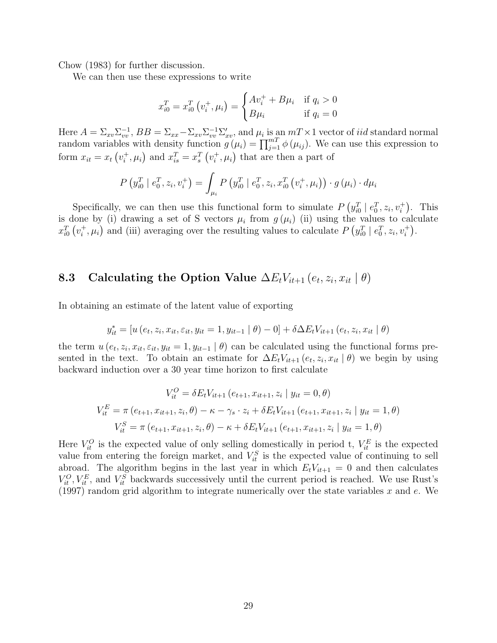Chow (1983) for further discussion.

We can then use these expressions to write

$$
x_{i0}^T = x_{i0}^T (v_i^+, \mu_i) = \begin{cases} Av_i^+ + B\mu_i & \text{if } q_i > 0\\ B\mu_i & \text{if } q_i = 0 \end{cases}
$$

Here  $A = \sum_{xv} \sum_{vv}^{-1}$ ,  $BB = \sum_{xx} -\sum_{xv} \sum_{vv}^{-1} \sum_{xv}^{\prime}$ , and  $\mu_i$  is an  $m \ge 1$  vector of *iid* standard normal random variables with density function  $g(\mu_i) = \prod_{j=1}^{m} \phi(\mu_{ij})$ . We can use this expression to form  $x_{it} = x_t \left( v_i^+ \right)$  $x_i^+, \mu_i$  and  $x_{is}^T = x_s^T (v_i^+)$  $\mu_i^+, \mu_i$  that are then a part of

$$
P(y_{i0}^T | e_0^T, z_i, v_i^+) = \int_{\mu_i} P(y_{i0}^T | e_0^T, z_i, x_{i0}^T (v_i^+, \mu_i)) \cdot g(\mu_i) \cdot d\mu_i
$$

Specifically, we can then use this functional form to simulate  $P(y_{i0}^T | e_0^T, z_i, v_i^+)$ . This is done by (i) drawing a set of S vectors  $\mu_i$  from  $g(\mu_i)$  (ii) using the values to calculate  $x_{i0}^T(v_i^+)$  $\mu_i^+$ ,  $\mu_i$ ) and (iii) averaging over the resulting values to calculate  $P(g_{i0}^T | e_0^T, z_i, v_i^+)$ .

#### 8.3 Calculating the Option Value  $\Delta E_t V_{it+1} (e_t, z_i, x_{it} | \theta)$

In obtaining an estimate of the latent value of exporting

$$
y_{it}^* = [u(e_t, z_i, x_{it}, \varepsilon_{it}, y_{it} = 1, y_{it-1} | \theta) - 0] + \delta \Delta E_t V_{it+1}(e_t, z_i, x_{it} | \theta)
$$

the term  $u(e_t, z_i, x_{it}, \varepsilon_{it}, y_{it} = 1, y_{it-1} | \theta)$  can be calculated using the functional forms presented in the text. To obtain an estimate for  $\Delta E_t V_{it+1}(e_t, z_i, x_{it} | \theta)$  we begin by using backward induction over a 30 year time horizon to first calculate

$$
V_{it}^{O} = \delta E_t V_{it+1} (e_{t+1}, x_{it+1}, z_i | y_{it} = 0, \theta)
$$
  
\n
$$
V_{it}^{E} = \pi (e_{t+1}, x_{it+1}, z_i, \theta) - \kappa - \gamma_s \cdot z_i + \delta E_t V_{it+1} (e_{t+1}, x_{it+1}, z_i | y_{it} = 1, \theta)
$$
  
\n
$$
V_{it}^{S} = \pi (e_{t+1}, x_{it+1}, z_i, \theta) - \kappa + \delta E_t V_{it+1} (e_{t+1}, x_{it+1}, z_i | y_{it} = 1, \theta)
$$

Here  $V_{it}^O$  is the expected value of only selling domestically in period t,  $V_{it}^E$  is the expected value from entering the foreign market, and  $V_{it}^{S}$  is the expected value of continuing to sell abroad. The algorithm begins in the last year in which  $E_tV_{it+1} = 0$  and then calculates  $V_{it}^O, V_{it}^E$ , and  $V_{it}^S$  backwards successively until the current period is reached. We use Rust's (1997) random grid algorithm to integrate numerically over the state variables  $x$  and  $e$ . We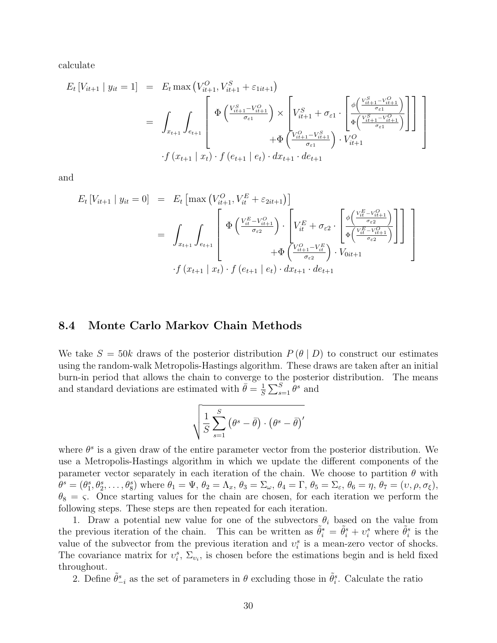calculate

$$
E_{t}[V_{it+1} | y_{it} = 1] = E_{t} \max (V_{it+1}^{O}, V_{it+1}^{S} + \varepsilon_{1it+1})
$$
  
\n
$$
= \int_{x_{t+1}} \int_{e_{t+1}} \left[ \Phi \left( \frac{V_{it+1}^{S} - V_{it+1}^{O}}{\sigma_{\varepsilon 1}} \right) \times \left[ V_{it+1}^{S} + \sigma_{\varepsilon 1} \cdot \left[ \frac{\phi \left( \frac{V_{it+1}^{S} - V_{it+1}^{O}}{\sigma_{\varepsilon 1}} \right)}{\phi \left( \frac{V_{it+1}^{S} - V_{it+1}^{O}}{\sigma_{\varepsilon 1}} \right)} \right] \right] \right]
$$
  
\n
$$
+ \Phi \left( \frac{V_{it+1}^{O} - V_{it+1}^{S}}{\sigma_{\varepsilon 1}} \right) \cdot V_{it+1}^{O}
$$
  
\n
$$
+ f (x_{t+1} | x_{t}) \cdot f (e_{t+1} | e_{t}) \cdot dx_{t+1} \cdot de_{t+1}
$$

and

$$
E_{t}[V_{it+1} | y_{it} = 0] = E_{t}[\max (V_{it+1}^{O}, V_{it}^{E} + \varepsilon_{2it+1})]
$$
  
\n
$$
= \int_{x_{t+1}} \int_{e_{t+1}} \left[ \Phi \left( \frac{V_{it}^{E} - V_{it+1}^{O}}{\sigma_{\varepsilon 2}} \right) \cdot \left[ V_{it}^{E} + \sigma_{\varepsilon 2} \cdot \left[ \frac{\phi \left( \frac{V_{it}^{E} - V_{it+1}^{O}}{\sigma_{\varepsilon 2}} \right)}{\phi \left( \frac{V_{it}^{E} - V_{it+1}^{O}}{\sigma_{\varepsilon 2}} \right)} \right] \right] \right]
$$
  
\n
$$
\cdot f (x_{t+1} | x_{t}) \cdot f (e_{t+1} | e_{t}) \cdot dx_{t+1} \cdot de_{t+1}
$$

#### 8.4 Monte Carlo Markov Chain Methods

We take  $S = 50k$  draws of the posterior distribution  $P(\theta | D)$  to construct our estimates using the random-walk Metropolis-Hastings algorithm. These draws are taken after an initial burn-in period that allows the chain to converge to the posterior distribution. The means and standard deviations are estimated with  $\bar{\theta} = \frac{1}{5}$  $\frac{1}{S}\sum_{s=1}^{S} \theta^s$  and

$$
\sqrt{\frac{1}{S}\sum_{s=1}^{S}\left(\theta^{s}-\bar{\theta}\right)\cdot\left(\theta^{s}-\bar{\theta}\right)'}
$$

where  $\theta^s$  is a given draw of the entire parameter vector from the posterior distribution. We use a Metropolis-Hastings algorithm in which we update the different components of the parameter vector separately in each iteration of the chain. We choose to partition  $\theta$  with  $\theta^s = (\theta_1^s, \theta_2^s, \dots, \theta_8^s)$  where  $\theta_1 = \Psi$ ,  $\theta_2 = \Lambda_x$ ,  $\theta_3 = \Sigma_\omega$ ,  $\theta_4 = \Gamma$ ,  $\theta_5 = \Sigma_\varepsilon$ ,  $\theta_6 = \eta$ ,  $\theta_7 = (\upsilon, \rho, \sigma_\xi)$ ,  $\theta_8 = \varsigma$ . Once starting values for the chain are chosen, for each iteration we perform the following steps. These steps are then repeated for each iteration.

1. Draw a potential new value for one of the subvectors  $\theta_i$  based on the value from the previous iteration of the chain. This can be written as  $\tilde{\theta}_i^* = \tilde{\theta}_i^s + v_i^s$  where  $\tilde{\theta}_i^s$  is the value of the subvector from the previous iteration and  $v_i^s$  is a mean-zero vector of shocks. The covariance matrix for  $v_i^s$ ,  $\Sigma_{v_i}$ , is chosen before the estimations begin and is held fixed throughout.

2. Define  $\tilde{\theta}_{-i}^s$  as the set of parameters in  $\theta$  excluding those in  $\tilde{\theta}_i^s$ . Calculate the ratio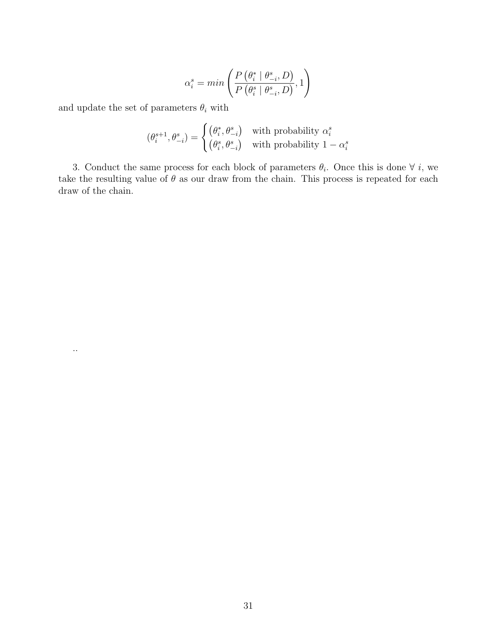$$
\alpha_i^s = \min\left(\frac{P\left(\theta_i^* \mid \theta_{-i}^*, D\right)}{P\left(\theta_i^s \mid \theta_{-i}^*, D\right)}, 1\right)
$$

and update the set of parameters  $\theta_i$  with

..

$$
(\theta_i^{s+1}, \theta_{-i}^s) = \begin{cases} (\theta_i^*, \theta_{-i}^s) & \text{with probability } \alpha_i^s \\ (\theta_i^s, \theta_{-i}^s) & \text{with probability } 1 - \alpha_i^s \end{cases}
$$

3. Conduct the same process for each block of parameters  $\theta_i$ . Once this is done  $\forall i$ , we take the resulting value of  $\theta$  as our draw from the chain. This process is repeated for each draw of the chain.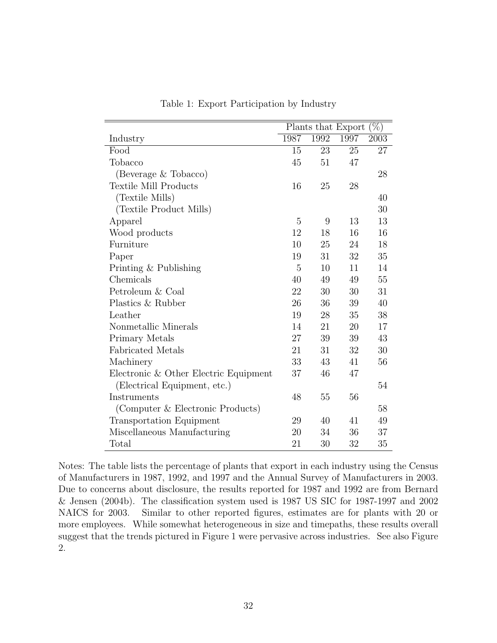|                                       |      | Plants that Export |      | $(\% )$    |
|---------------------------------------|------|--------------------|------|------------|
| Industry                              | 1987 | 1992               | 1997 | $\,2003\,$ |
| Food                                  | 15   | 23                 | 25   | 27         |
| Tobacco                               | 45   | 51                 | 47   |            |
| (Beverage & Tobacco)                  |      |                    |      | 28         |
| <b>Textile Mill Products</b>          | 16   | 25                 | 28   |            |
| (Textile Mills)                       |      |                    |      | 40         |
| (Textile Product Mills)               |      |                    |      | 30         |
| Apparel                               | 5    | 9                  | 13   | 13         |
| Wood products                         | 12   | 18                 | 16   | 16         |
| Furniture                             | 10   | 25                 | 24   | 18         |
| Paper                                 | 19   | 31                 | 32   | 35         |
| Printing & Publishing                 | 5    | 10                 | 11   | 14         |
| Chemicals                             | 40   | 49                 | 49   | 55         |
| Petroleum & Coal                      | 22   | 30                 | 30   | 31         |
| Plastics & Rubber                     | 26   | 36                 | 39   | 40         |
| Leather                               | 19   | 28                 | 35   | 38         |
| Nonmetallic Minerals                  | 14   | 21                 | 20   | 17         |
| Primary Metals                        | 27   | 39                 | 39   | 43         |
| <b>Fabricated Metals</b>              | 21   | 31                 | 32   | 30         |
| Machinery                             | 33   | 43                 | 41   | 56         |
| Electronic & Other Electric Equipment | 37   | 46                 | 47   |            |
| (Electrical Equipment, etc.)          |      |                    |      | 54         |
| Instruments                           | 48   | 55                 | 56   |            |
| (Computer & Electronic Products)      |      |                    |      | 58         |
| <b>Transportation Equipment</b>       | 29   | 40                 | 41   | 49         |
| Miscellaneous Manufacturing           | 20   | 34                 | 36   | 37         |
| Total                                 | 21   | 30                 | 32   | 35         |

Table 1: Export Participation by Industry

Notes: The table lists the percentage of plants that export in each industry using the Census of Manufacturers in 1987, 1992, and 1997 and the Annual Survey of Manufacturers in 2003. Due to concerns about disclosure, the results reported for 1987 and 1992 are from Bernard & Jensen (2004b). The classification system used is 1987 US SIC for 1987-1997 and 2002 NAICS for 2003. Similar to other reported figures, estimates are for plants with 20 or more employees. While somewhat heterogeneous in size and timepaths, these results overall suggest that the trends pictured in Figure 1 were pervasive across industries. See also Figure 2.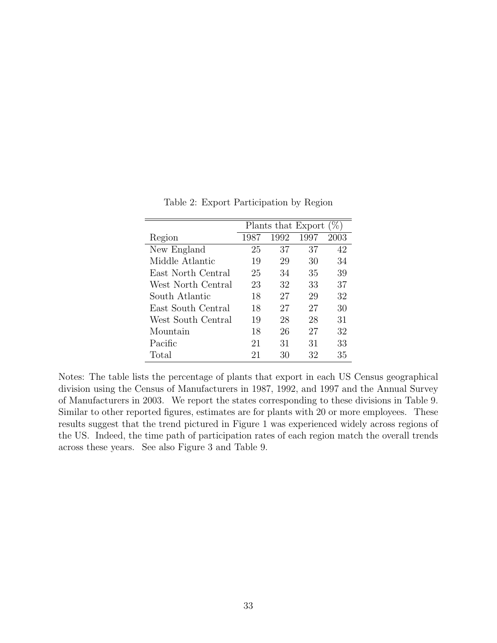|                    | Plants that Export<br>$(\%)$ |      |      |      |
|--------------------|------------------------------|------|------|------|
| Region             | 1987                         | 1992 | 1997 | 2003 |
| New England        | 25                           | 37   | 37   | 42   |
| Middle Atlantic    | 19                           | 29   | 30   | 34   |
| East North Central | 25                           | 34   | 35   | 39   |
| West North Central | 23                           | 32   | 33   | 37   |
| South Atlantic     | 18                           | 27   | 29   | 32   |
| East South Central | 18                           | 27   | 27   | 30   |
| West South Central | 19                           | 28   | 28   | 31   |
| Mountain           | 18                           | 26   | 27   | 32   |
| Pacific            | 21                           | 31   | 31   | 33   |
| Total              | 21                           | 30   | 32   | 35   |

Table 2: Export Participation by Region

Notes: The table lists the percentage of plants that export in each US Census geographical division using the Census of Manufacturers in 1987, 1992, and 1997 and the Annual Survey of Manufacturers in 2003. We report the states corresponding to these divisions in Table 9. Similar to other reported figures, estimates are for plants with 20 or more employees. These results suggest that the trend pictured in Figure 1 was experienced widely across regions of the US. Indeed, the time path of participation rates of each region match the overall trends across these years. See also Figure 3 and Table 9.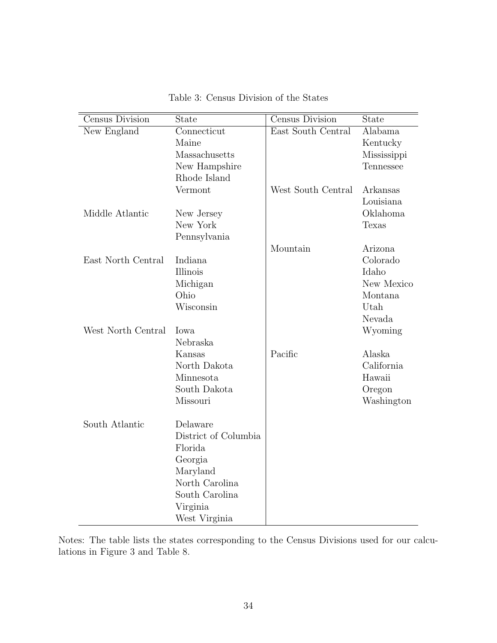| Census Division    | <b>State</b>         | Census Division    | State       |
|--------------------|----------------------|--------------------|-------------|
| New England        | Connecticut          | East South Central | Alabama     |
|                    | Maine                |                    | Kentucky    |
|                    | Massachusetts        |                    | Mississippi |
|                    | New Hampshire        |                    | Tennessee   |
|                    | Rhode Island         |                    |             |
|                    | Vermont              | West South Central | Arkansas    |
|                    |                      |                    | Louisiana   |
| Middle Atlantic    | New Jersey           |                    | Oklahoma    |
|                    | New York             |                    | Texas       |
|                    | Pennsylvania         |                    |             |
|                    |                      | Mountain           | Arizona     |
| East North Central | Indiana              |                    | Colorado    |
|                    | Illinois             |                    | Idaho       |
|                    | Michigan             |                    | New Mexico  |
|                    | Ohio                 |                    | Montana     |
|                    | Wisconsin            |                    | Utah        |
|                    |                      |                    | Nevada      |
| West North Central | Iowa                 |                    | Wyoming     |
|                    | Nebraska             |                    |             |
|                    | Kansas               | Pacific            | Alaska      |
|                    | North Dakota         |                    | California  |
|                    | Minnesota            |                    | Hawaii      |
|                    | South Dakota         |                    | Oregon      |
|                    | Missouri             |                    | Washington  |
|                    |                      |                    |             |
| South Atlantic     | Delaware             |                    |             |
|                    | District of Columbia |                    |             |
|                    | Florida              |                    |             |
|                    | Georgia              |                    |             |
|                    | Maryland             |                    |             |
|                    | North Carolina       |                    |             |
|                    | South Carolina       |                    |             |
|                    | Virginia             |                    |             |
|                    | West Virginia        |                    |             |

Table 3: Census Division of the States

Notes: The table lists the states corresponding to the Census Divisions used for our calculations in Figure 3 and Table 8.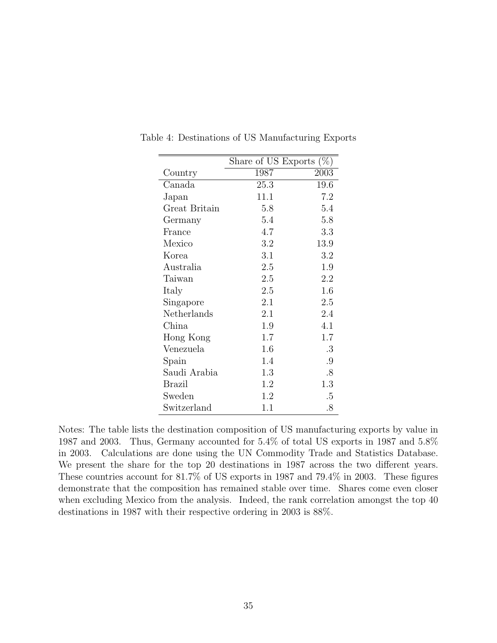|               | Share of US Exports $(\%)$ |        |
|---------------|----------------------------|--------|
| Country       | 1987                       | 2003   |
| Canada        | 25.3                       | 19.6   |
| Japan         | 11.1                       | 7.2    |
| Great Britain | 5.8                        | 5.4    |
| Germany       | 5.4                        | 5.8    |
| France        | 4.7                        | 3.3    |
| Mexico        | 3.2                        | 13.9   |
| Korea         | 3.1                        | 3.2    |
| Australia     | 2.5                        | 1.9    |
| Taiwan        | 2.5                        | 2.2    |
| Italy         | 2.5                        | 1.6    |
| Singapore     | 2.1                        | 2.5    |
| Netherlands   | 2.1                        | 2.4    |
| China         | 1.9                        | 4.1    |
| Hong Kong     | 1.7                        | 1.7    |
| Venezuela     | 1.6                        | .3     |
| Spain         | 1.4                        | .9     |
| Saudi Arabia  | 1.3                        | $.8\,$ |
| Brazil        | 1.2                        | 1.3    |
| Sweden        | 1.2                        | .5     |
| Switzerland   | 1.1                        | .8     |

Table 4: Destinations of US Manufacturing Exports

Notes: The table lists the destination composition of US manufacturing exports by value in 1987 and 2003. Thus, Germany accounted for 5.4% of total US exports in 1987 and 5.8% in 2003. Calculations are done using the UN Commodity Trade and Statistics Database. We present the share for the top 20 destinations in 1987 across the two different years. These countries account for 81.7% of US exports in 1987 and 79.4% in 2003. These figures demonstrate that the composition has remained stable over time. Shares come even closer when excluding Mexico from the analysis. Indeed, the rank correlation amongst the top 40 destinations in 1987 with their respective ordering in 2003 is 88%.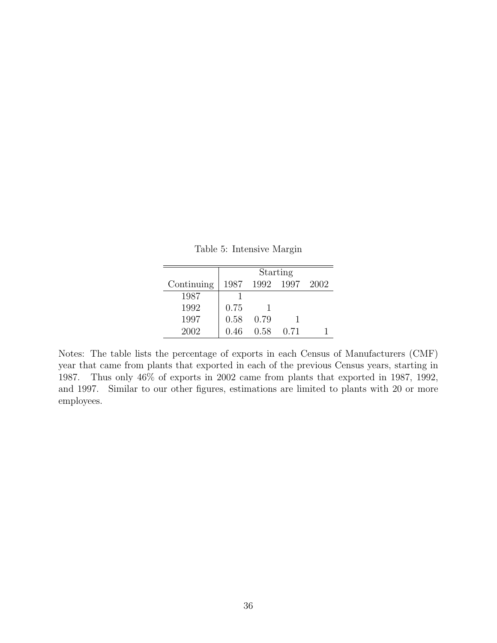Table 5: Intensive Margin

|            |      |      | Starting  |      |
|------------|------|------|-----------|------|
| Continuing | 1987 |      | 1992 1997 | 2002 |
| 1987       |      |      |           |      |
| 1992       | 0.75 |      |           |      |
| 1997       | 0.58 | 0.79 |           |      |
| 2002       | 0.46 | 0.58 | 0.71      |      |

Notes: The table lists the percentage of exports in each Census of Manufacturers (CMF) year that came from plants that exported in each of the previous Census years, starting in 1987. Thus only 46% of exports in 2002 came from plants that exported in 1987, 1992, and 1997. Similar to our other figures, estimations are limited to plants with 20 or more employees.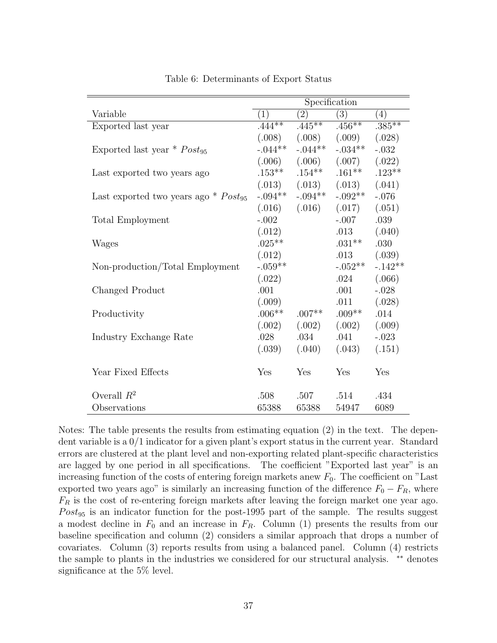|                                                    | Specification |           |                   |           |
|----------------------------------------------------|---------------|-----------|-------------------|-----------|
| Variable                                           | (1)           | (2)       | (3)               | (4)       |
| Exported last year                                 | $.444***$     | $.445**$  | $.456**$          | $.385***$ |
|                                                    | (.008)        |           | $(.008)$ $(.009)$ | (.028)    |
| Exported last year $*$ Post <sub>95</sub>          | $-.044**$     | $-.044**$ | $-.034**$         | $-.032$   |
|                                                    | (.006)        | (.006)    | (.007)            | (.022)    |
| Last exported two years ago                        | $.153***$     | $.154***$ | $.161***$         | $.123**$  |
|                                                    | (.013)        |           | $(.013)$ $(.013)$ | (.041)    |
| Last exported two years ago $*$ Post <sub>95</sub> | $-.094**$     | $-.094**$ | $-.092**$         | $-.076$   |
|                                                    | (.016)        | (.016)    | (.017)            | (.051)    |
| <b>Total Employment</b>                            | $-.002$       |           | $-.007$           | .039      |
|                                                    | (.012)        |           | .013              | (.040)    |
| Wages                                              | $.025***$     |           | $.031**$          | .030      |
|                                                    | (.012)        |           | .013              | (.039)    |
| Non-production/Total Employment                    | $-.059**$     |           | $-.052**$         | $-.142**$ |
|                                                    | (.022)        |           | .024              | (.066)    |
| Changed Product                                    | .001          |           | .001              | $-.028$   |
|                                                    | (.009)        |           | .011              | (.028)    |
| Productivity                                       | $.006**$      | $.007**$  | $.009**$          | .014      |
|                                                    | (.002)        | (.002)    | (.002)            | (.009)    |
| Industry Exchange Rate                             | .028          | .034      | .041              | $-.023$   |
|                                                    | (.039)        | (.040)    | (.043)            | (.151)    |
| Year Fixed Effects                                 | Yes           | Yes       | Yes               | Yes       |
| Overall $R^2$                                      | .508          | .507      | .514              | .434      |
| Observations                                       | 65388         | 65388     | 54947             | 6089      |

Table 6: Determinants of Export Status

Notes: The table presents the results from estimating equation (2) in the text. The dependent variable is a 0/1 indicator for a given plant's export status in the current year. Standard errors are clustered at the plant level and non-exporting related plant-specific characteristics are lagged by one period in all specifications. The coefficient "Exported last year" is an increasing function of the costs of entering foreign markets anew  $F_0$ . The coefficient on "Last" exported two years ago" is similarly an increasing function of the difference  $F_0 - F_R$ , where  $F_R$  is the cost of re-entering foreign markets after leaving the foreign market one year ago.  $Post_{95}$  is an indicator function for the post-1995 part of the sample. The results suggest a modest decline in  $F_0$  and an increase in  $F_R$ . Column (1) presents the results from our baseline specification and column (2) considers a similar approach that drops a number of covariates. Column (3) reports results from using a balanced panel. Column (4) restricts the sample to plants in the industries we considered for our structural analysis. ∗∗ denotes significance at the 5% level.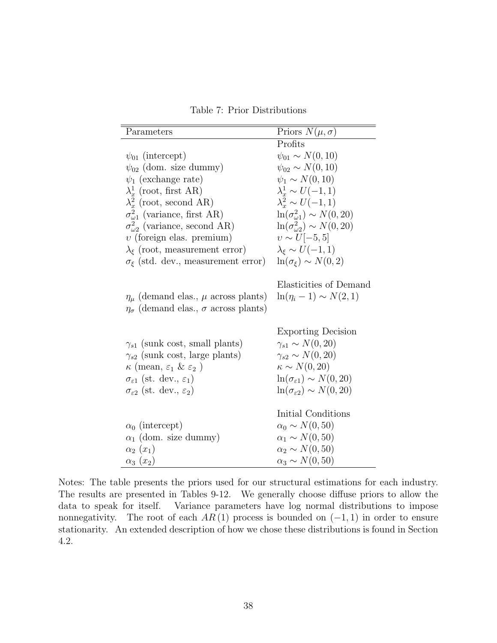Table 7: Prior Distributions

| Parameters                                                                                                 | Priors $N(\mu, \sigma)$                                                                 |
|------------------------------------------------------------------------------------------------------------|-----------------------------------------------------------------------------------------|
|                                                                                                            | Profits                                                                                 |
| $\psi_{01}$ (intercept)                                                                                    | $\psi_{01} \sim N(0, 10)$                                                               |
| $\psi_{02}$ (dom. size dummy)                                                                              | $\psi_{02} \sim N(0, 10)$                                                               |
| $\psi_1$ (exchange rate)                                                                                   | $\psi_1 \sim N(0, 10)$                                                                  |
| $\lambda_x^1$ (root, first AR)                                                                             | $\lambda_x^1 \sim U(-1,1)$                                                              |
| $\lambda_x^2$ (root, second AR)                                                                            | $\lambda_x^2 \sim U(-1,1)$                                                              |
| $\sigma_{\omega_1}^2$ (variance, first AR)                                                                 | $\ln(\sigma_{\omega1}^2) \sim N(0, 20)$                                                 |
| $\sigma_{\omega_2}^2$ (variance, second AR)                                                                | $\ln(\sigma_{\omega}^2) \sim N(0, 20)$                                                  |
| $v$ (foreign elas. premium)                                                                                | $v \sim U[-5, 5]$                                                                       |
| $\lambda_{\xi}$ (root, measurement error)                                                                  | $\lambda_{\varepsilon} \sim U(-1,1)$                                                    |
| $\sigma_{\xi}$ (std. dev., measurement error)                                                              | $\ln(\sigma_{\xi}) \sim N(0, 2)$                                                        |
| $\eta_{\mu}$ (demand elas., $\mu$ across plants)<br>$\eta_{\sigma}$ (demand elas., $\sigma$ across plants) | Elasticities of Demand<br>$\ln(\eta_i - 1) \sim N(2, 1)$                                |
| $\gamma_{s1}$ (sunk cost, small plants)<br>$\gamma_{s2}$ (sunk cost, large plants)                         | <b>Exporting Decision</b><br>$\gamma_{s1} \sim N(0, 20)$<br>$\gamma_{s2} \sim N(0, 20)$ |
| $\kappa$ (mean, $\varepsilon_1$ & $\varepsilon_2$ )                                                        | $\kappa \sim N(0, 20)$                                                                  |
| $\sigma_{\varepsilon 1}$ (st. dev., $\varepsilon_1$ )                                                      | $\ln(\sigma_{\epsilon 1}) \sim N(0, 20)$                                                |
| $\sigma_{\varepsilon2}$ (st. dev., $\varepsilon_2$ )                                                       | $\ln(\sigma_{\epsilon 2}) \sim N(0, 20)$                                                |
|                                                                                                            | Initial Conditions                                                                      |
| $\alpha_0$ (intercept)                                                                                     | $\alpha_0 \sim N(0, 50)$                                                                |
| $\alpha_1$ (dom. size dummy)                                                                               | $\alpha_1 \sim N(0, 50)$                                                                |
| $\alpha_2(x_1)$                                                                                            | $\alpha_2 \sim N(0, 50)$                                                                |
| $\alpha_3(x_2)$                                                                                            | $\alpha_3 \sim N(0, 50)$                                                                |

Notes: The table presents the priors used for our structural estimations for each industry. The results are presented in Tables 9-12. We generally choose diffuse priors to allow the data to speak for itself. Variance parameters have log normal distributions to impose nonnegativity. The root of each  $AR(1)$  process is bounded on  $(-1, 1)$  in order to ensure stationarity. An extended description of how we chose these distributions is found in Section 4.2.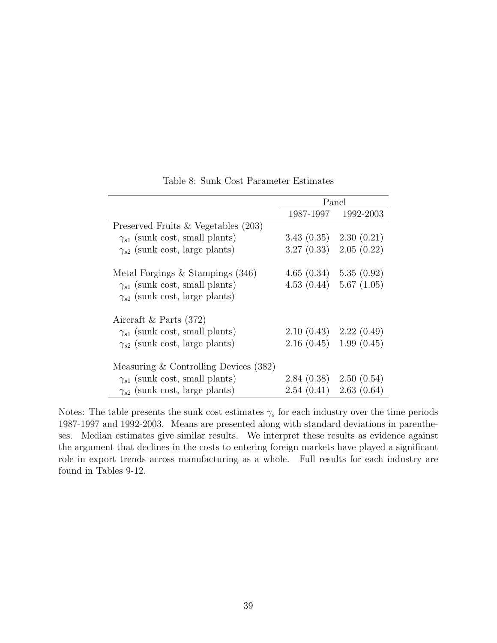|                                         | Panel                      |                     |  |
|-----------------------------------------|----------------------------|---------------------|--|
|                                         |                            | 1987-1997 1992-2003 |  |
| Preserved Fruits $& Vegetables (203)$   |                            |                     |  |
| $\gamma_{s1}$ (sunk cost, small plants) | $3.43(0.35)$ $2.30(0.21)$  |                     |  |
| $\gamma_{s2}$ (sunk cost, large plants) | 3.27(0.33)                 | 2.05(0.22)          |  |
| Metal Forgings $\&$ Stampings (346)     | $4.65(0.34)$ $5.35(0.92)$  |                     |  |
| $\gamma_{s1}$ (sunk cost, small plants) | 4.53(0.44)                 | 5.67(1.05)          |  |
| $\gamma_{s2}$ (sunk cost, large plants) |                            |                     |  |
| Aircraft & Parts $(372)$                |                            |                     |  |
| $\gamma_{s1}$ (sunk cost, small plants) | $2.10(0.43)$ $2.22(0.49)$  |                     |  |
| $\gamma_{s2}$ (sunk cost, large plants) | $2.16(0.45)$ 1.99 $(0.45)$ |                     |  |
| Measuring $&$ Controlling Devices (382) |                            |                     |  |
| $\gamma_{s1}$ (sunk cost, small plants) | $2.84(0.38)$ $2.50(0.54)$  |                     |  |
| $\gamma_{s2}$ (sunk cost, large plants) | 2.54(0.41)                 | 2.63(0.64)          |  |

Table 8: Sunk Cost Parameter Estimates

Notes: The table presents the sunk cost estimates  $\gamma_s$  for each industry over the time periods 1987-1997 and 1992-2003. Means are presented along with standard deviations in parentheses. Median estimates give similar results. We interpret these results as evidence against the argument that declines in the costs to entering foreign markets have played a significant role in export trends across manufacturing as a whole. Full results for each industry are found in Tables 9-12.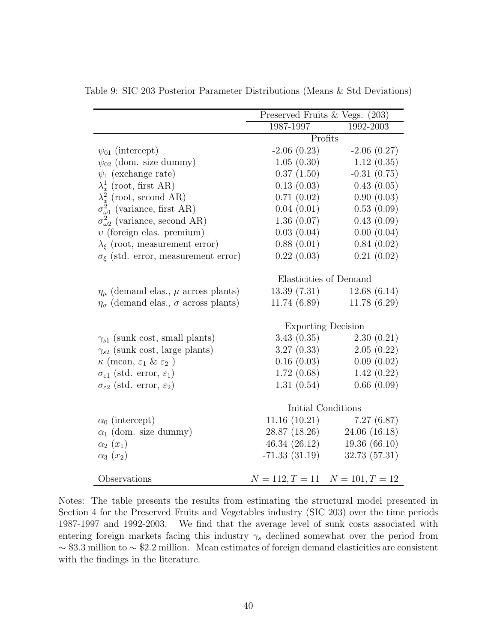|                                                         | Preserved Fruits & Vegs. (203) |                                     |  |  |
|---------------------------------------------------------|--------------------------------|-------------------------------------|--|--|
|                                                         | 1987-1997                      | 1992-2003                           |  |  |
|                                                         | Profits                        |                                     |  |  |
| $\psi_{01}$ (intercept)                                 | $-2.06(0.23)$                  | $-2.06(0.27)$                       |  |  |
| $\psi_{02}$ (dom. size dummy)                           | 1.05(0.30)                     | 1.12(0.35)                          |  |  |
| $\psi_1$ (exchange rate)                                | 0.37(1.50)                     | $-0.31(0.75)$                       |  |  |
| $\lambda_x^1$ (root, first AR)                          | 0.13(0.03)                     | 0.43(0.05)                          |  |  |
| $\lambda_x^2$ (root, second AR)                         | 0.71(0.02)                     | 0.90(0.03)                          |  |  |
| $\sigma_{\omega 1}^2$ (variance, first AR)              | 0.04(0.01)                     | 0.53(0.09)                          |  |  |
| $\sigma_{\omega_2}^2$ (variance, second AR)             | 1.36(0.07)                     | 0.43(0.09)                          |  |  |
| $v$ (foreign elas. premium)                             | 0.03(0.04)                     | 0.00(0.04)                          |  |  |
| $\lambda_{\xi}$ (root, measurement error)               | 0.88(0.01)                     | 0.84(0.02)                          |  |  |
| $\sigma_{\xi}$ (std. error, measurement error)          | 0.22(0.03)                     | 0.21(0.02)                          |  |  |
|                                                         | Elasticities of Demand         |                                     |  |  |
| $\eta_{\mu}$ (demand elas., $\mu$ across plants)        | 13.39(7.31)                    | 12.68(6.14)                         |  |  |
| $\eta_{\sigma}$ (demand elas., $\sigma$ across plants)  | 11.74(6.89)                    | 11.78(6.29)                         |  |  |
|                                                         | <b>Exporting Decision</b>      |                                     |  |  |
| $\gamma_{s1}$ (sunk cost, small plants)                 | 3.43(0.35)                     | 2.30(0.21)                          |  |  |
| $\gamma_{s2}$ (sunk cost, large plants)                 | 3.27(0.33)                     | 2.05(0.22)                          |  |  |
| $\kappa$ (mean, $\varepsilon_1$ & $\varepsilon_2$ )     | 0.16(0.03)                     | 0.09(0.02)                          |  |  |
| $\sigma_{\varepsilon 1}$ (std. error, $\varepsilon_1$ ) | 1.72(0.68)                     | 1.42(0.22)                          |  |  |
| $\sigma_{\varepsilon 2}$ (std. error, $\varepsilon_2$ ) | 1.31(0.54)                     | 0.66(0.09)                          |  |  |
|                                                         |                                |                                     |  |  |
|                                                         |                                | Initial Conditions                  |  |  |
| $\alpha_0$ (intercept)                                  |                                | $11.16(10.21)$ $7.27(6.87)$         |  |  |
| $\alpha_1$ (dom. size dummy)                            | 28.87 (18.26)                  | 24.06(16.18)                        |  |  |
| $\alpha_2(x_1)$                                         | 46.34 (26.12)                  | 19.36(66.10)                        |  |  |
| $\alpha_3(x_2)$                                         | $-71.33(31.19)$                | 32.73(57.31)                        |  |  |
|                                                         |                                |                                     |  |  |
| Observations                                            |                                | $N = 112, T = 11$ $N = 101, T = 12$ |  |  |

Table 9: SIC 203 Posterior Parameter Distributions (Means & Std Deviations)

Notes: The table presents the results from estimating the structural model presented in Section 4 for the Preserved Fruits and Vegetables industry (SIC 203) over the time periods 1987-1997 and 1992-2003. We find that the average level of sunk costs associated with entering foreign markets facing this industry  $\gamma_s$  declined somewhat over the period from ∼ \$3.3 million to ∼ \$2.2 million. Mean estimates of foreign demand elasticities are consistent with the findings in the literature.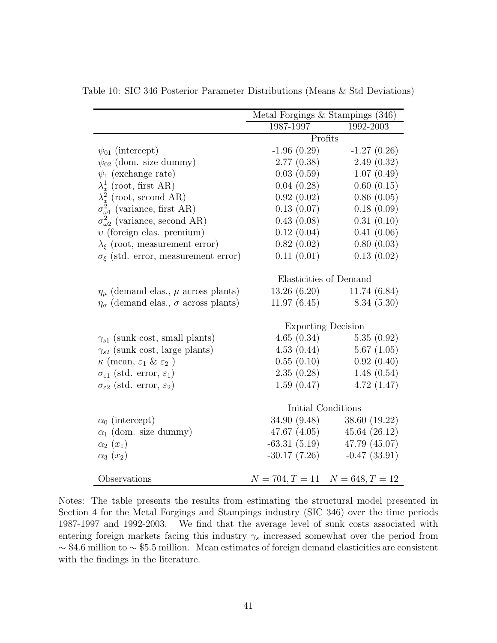|                                                         | Metal Forgings $&$ Stampings (346)  |                                |  |  |
|---------------------------------------------------------|-------------------------------------|--------------------------------|--|--|
|                                                         | 1987-1997                           | 1992-2003                      |  |  |
|                                                         | Profits                             |                                |  |  |
| $\psi_{01}$ (intercept)                                 | $-1.96(0.29)$                       | $-1.27(0.26)$                  |  |  |
| $\psi_{02}$ (dom. size dummy)                           | 2.77(0.38)                          | 2.49(0.32)                     |  |  |
| $\psi_1$ (exchange rate)                                | 0.03(0.59)                          | 1.07(0.49)                     |  |  |
| $\lambda_x^1$ (root, first AR)                          | 0.04(0.28)                          | 0.60(0.15)                     |  |  |
| $\lambda_x^2$ (root, second AR)                         | 0.92(0.02)                          | 0.86(0.05)                     |  |  |
| $\sigma_{\omega 1}^2$ (variance, first AR)              | 0.13(0.07)                          | 0.18(0.09)                     |  |  |
| $\sigma_{\omega_2}^2$ (variance, second AR)             | 0.43(0.08)                          | 0.31(0.10)                     |  |  |
| $v$ (foreign elas. premium)                             | 0.12(0.04)                          | 0.41(0.06)                     |  |  |
| $\lambda_{\xi}$ (root, measurement error)               | 0.82(0.02)                          | 0.80(0.03)                     |  |  |
| $\sigma_{\xi}$ (std. error, measurement error)          | 0.11(0.01)                          | 0.13(0.02)                     |  |  |
|                                                         | Elasticities of Demand              |                                |  |  |
| $\eta_{\mu}$ (demand elas., $\mu$ across plants)        | 13.26(6.20)                         | 11.74(6.84)                    |  |  |
| $\eta_{\sigma}$ (demand elas., $\sigma$ across plants)  |                                     | $11.97(6.45)$ 8.34 (5.30)      |  |  |
|                                                         | <b>Exporting Decision</b>           |                                |  |  |
| $\gamma_{s1}$ (sunk cost, small plants)                 | 4.65(0.34)                          | 5.35(0.92)                     |  |  |
| $\gamma_{s2}$ (sunk cost, large plants)                 | 4.53(0.44)                          | 5.67(1.05)                     |  |  |
| $\kappa$ (mean, $\varepsilon_1$ & $\varepsilon_2$ )     | 0.55(0.10)                          | 0.92(0.40)                     |  |  |
| $\sigma_{\varepsilon 1}$ (std. error, $\varepsilon_1$ ) | 2.35(0.28)                          | 1.48(0.54)                     |  |  |
| $\sigma_{\varepsilon 2}$ (std. error, $\varepsilon_2$ ) | 1.59(0.47)                          | 4.72(1.47)                     |  |  |
|                                                         |                                     |                                |  |  |
|                                                         | Initial Conditions                  |                                |  |  |
| $\alpha_0$ (intercept)                                  |                                     | 34.90 (9.48) 38.60 (19.22)     |  |  |
| $\alpha_1$ (dom. size dummy)                            |                                     | 47.67 $(4.05)$ 45.64 $(26.12)$ |  |  |
| $\alpha_2(x_1)$                                         |                                     | $-63.31(5.19)$ $47.79(45.07)$  |  |  |
| $\alpha_3(x_2)$                                         | $-30.17(7.26)$                      | $-0.47(33.91)$                 |  |  |
| Observations                                            | $N = 704, T = 11$ $N = 648, T = 12$ |                                |  |  |

Table 10: SIC 346 Posterior Parameter Distributions (Means & Std Deviations)

Notes: The table presents the results from estimating the structural model presented in Section 4 for the Metal Forgings and Stampings industry (SIC 346) over the time periods 1987-1997 and 1992-2003. We find that the average level of sunk costs associated with entering foreign markets facing this industry  $\gamma_s$  increased somewhat over the period from ∼ \$4.6 million to ∼ \$5.5 million. Mean estimates of foreign demand elasticities are consistent with the findings in the literature.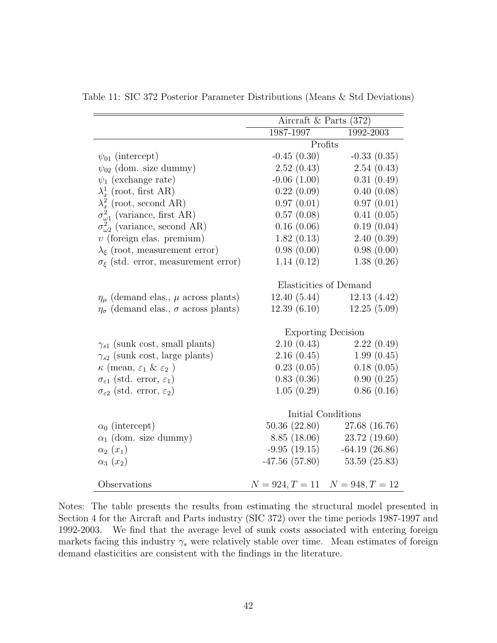|                                                         | Aircraft & Parts $(372)$ |                                     |  |  |
|---------------------------------------------------------|--------------------------|-------------------------------------|--|--|
|                                                         | 1987-1997<br>1992-2003   |                                     |  |  |
|                                                         |                          | Profits                             |  |  |
| $\psi_{01}$ (intercept)                                 | $-0.45(0.30)$            | $-0.33(0.35)$                       |  |  |
| $\psi_{02}$ (dom. size dummy)                           | 2.52(0.43)               | 2.54(0.43)                          |  |  |
|                                                         | $-0.06(1.00)$            | 0.31(0.49)                          |  |  |
| $\psi_1$ (exchange rate)                                |                          |                                     |  |  |
| $\lambda_x^1$ (root, first AR)                          | 0.22(0.09)               | 0.40(0.08)                          |  |  |
| $\lambda_x^2$ (root, second AR)                         | 0.97(0.01)               | 0.97(0.01)                          |  |  |
| $\sigma_{\omega 1}^2$ (variance, first AR)              | 0.57(0.08)               | 0.41(0.05)                          |  |  |
| $\sigma_{\omega_2}^2$ (variance, second AR)             | 0.16(0.06)               | 0.19(0.04)                          |  |  |
| $v$ (foreign elas. premium)                             | 1.82(0.13)               | 2.40(0.39)                          |  |  |
| $\lambda_{\xi}$ (root, measurement error)               | 0.98(0.00)               | 0.98(0.00)                          |  |  |
| $\sigma_{\xi}$ (std. error, measurement error)          | 1.14(0.12)               | 1.38(0.26)                          |  |  |
|                                                         | Elasticities of Demand   |                                     |  |  |
| $\eta_{\mu}$ (demand elas., $\mu$ across plants)        | 12.40(5.44)              | 12.13(4.42)                         |  |  |
| $\eta_{\sigma}$ (demand elas., $\sigma$ across plants)  | 12.39(6.10)              | 12.25(5.09)                         |  |  |
|                                                         |                          |                                     |  |  |
|                                                         |                          | <b>Exporting Decision</b>           |  |  |
| $\gamma_{s1}$ (sunk cost, small plants)                 | 2.10(0.43)               | 2.22(0.49)                          |  |  |
| $\gamma_{s2}$ (sunk cost, large plants)                 | 2.16(0.45)               | 1.99(0.45)                          |  |  |
| $\kappa$ (mean, $\varepsilon_1$ & $\varepsilon_2$ )     | 0.23(0.05)               | 0.18(0.05)                          |  |  |
| $\sigma_{\varepsilon 1}$ (std. error, $\varepsilon_1$ ) | 0.83(0.36)               | 0.90(0.25)                          |  |  |
| $\sigma_{\varepsilon2}$ (std. error, $\varepsilon_2$ )  | 1.05(0.29)               | 0.86(0.16)                          |  |  |
|                                                         |                          | Initial Conditions                  |  |  |
|                                                         |                          |                                     |  |  |
| $\alpha_0$ (intercept)                                  |                          | 50.36 (22.80) 27.68 (16.76)         |  |  |
| $\alpha_1$ (dom. size dummy)                            |                          | 8.85 (18.06) 23.72 (19.60)          |  |  |
| $\alpha_2(x_1)$                                         |                          | $-9.95(19.15)$ $-64.19(26.86)$      |  |  |
| $\alpha_3(x_2)$                                         |                          | $-47.56(57.80)$ $53.59(25.83)$      |  |  |
| Observations                                            |                          | $N = 924, T = 11$ $N = 948, T = 12$ |  |  |

Table 11: SIC 372 Posterior Parameter Distributions (Means & Std Deviations)

Notes: The table presents the results from estimating the structural model presented in Section 4 for the Aircraft and Parts industry (SIC 372) over the time periods 1987-1997 and 1992-2003. We find that the average level of sunk costs associated with entering foreign markets facing this industry  $\gamma_s$  were relatively stable over time. Mean estimates of foreign demand elasticities are consistent with the findings in the literature.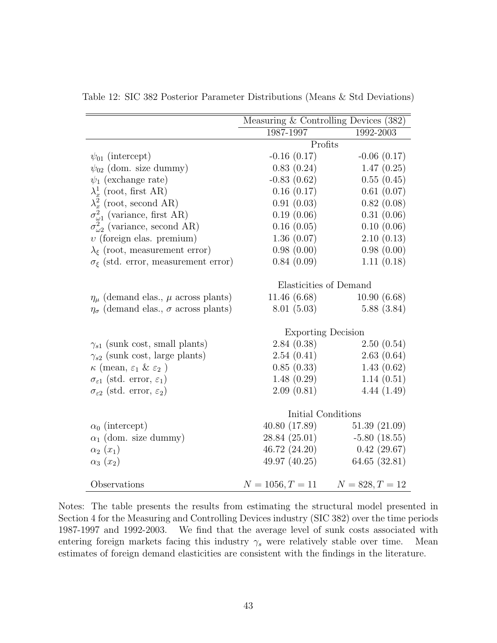|                                                         | Measuring & Controlling Devices (382) |                               |  |
|---------------------------------------------------------|---------------------------------------|-------------------------------|--|
|                                                         | 1987-1997                             | 1992-2003                     |  |
|                                                         | Profits                               |                               |  |
| $\psi_{01}$ (intercept)                                 | $-0.16(0.17)$                         | $-0.06(0.17)$                 |  |
| $\psi_{02}$ (dom. size dummy)                           | 0.83(0.24)                            | 1.47(0.25)                    |  |
| $\psi_1$ (exchange rate)                                | $-0.83(0.62)$                         | 0.55(0.45)                    |  |
| $\lambda_x^1$ (root, first AR)                          | 0.16(0.17)                            | 0.61(0.07)                    |  |
| $\lambda_x^2$ (root, second AR)                         | 0.91(0.03)                            | 0.82(0.08)                    |  |
| $\sigma_{\omega 1}^2$ (variance, first AR)              | 0.19(0.06)                            | 0.31(0.06)                    |  |
| $\sigma_{\omega_2}^2$ (variance, second AR)             | 0.16(0.05)                            | 0.10(0.06)                    |  |
| $v$ (foreign elas. premium)                             | 1.36(0.07)                            | 2.10(0.13)                    |  |
| $\lambda_{\xi}$ (root, measurement error)               | 0.98(0.00)                            | 0.98(0.00)                    |  |
| $\sigma_{\xi}$ (std. error, measurement error)          | 0.84(0.09)                            | 1.11(0.18)                    |  |
|                                                         |                                       |                               |  |
|                                                         | Elasticities of Demand                |                               |  |
| $\eta_{\mu}$ (demand elas., $\mu$ across plants)        | 11.46 (6.68)                          | 10.90(6.68)                   |  |
| $\eta_{\sigma}$ (demand elas., $\sigma$ across plants)  | 8.01(5.03)                            | 5.88(3.84)                    |  |
|                                                         |                                       |                               |  |
|                                                         | <b>Exporting Decision</b>             |                               |  |
| $\gamma_{s1}$ (sunk cost, small plants)                 | 2.84(0.38)                            | 2.50(0.54)                    |  |
| $\gamma_{s2}$ (sunk cost, large plants)                 | 2.54(0.41)                            | 2.63(0.64)                    |  |
| $\kappa$ (mean, $\varepsilon_1$ & $\varepsilon_2$ )     | 0.85(0.33)                            | 1.43(0.62)                    |  |
| $\sigma_{\varepsilon 1}$ (std. error, $\varepsilon_1$ ) | 1.48(0.29)                            | 1.14(0.51)                    |  |
| $\sigma_{\varepsilon2}$ (std. error, $\varepsilon_2$ )  | 2.09(0.81)                            | 4.44(1.49)                    |  |
|                                                         |                                       |                               |  |
|                                                         | Initial Conditions                    |                               |  |
| $\alpha_0$ (intercept)                                  | 40.80 (17.89)                         | 51.39(21.09)                  |  |
| $\alpha_1$ (dom. size dummy)                            |                                       | $28.84(25.01)$ $-5.80(18.55)$ |  |
| $\alpha_2(x_1)$                                         |                                       | $46.72(24.20)$ $0.42(29.67)$  |  |
| $\alpha_3(x_2)$                                         | 49.97 (40.25)                         | 64.65 (32.81)                 |  |
|                                                         |                                       |                               |  |
| Observations                                            | $N = 1056, T = 11$ $N = 828, T = 12$  |                               |  |

Table 12: SIC 382 Posterior Parameter Distributions (Means & Std Deviations)

Notes: The table presents the results from estimating the structural model presented in Section 4 for the Measuring and Controlling Devices industry (SIC 382) over the time periods 1987-1997 and 1992-2003. We find that the average level of sunk costs associated with entering foreign markets facing this industry  $\gamma_s$  were relatively stable over time. Mean estimates of foreign demand elasticities are consistent with the findings in the literature.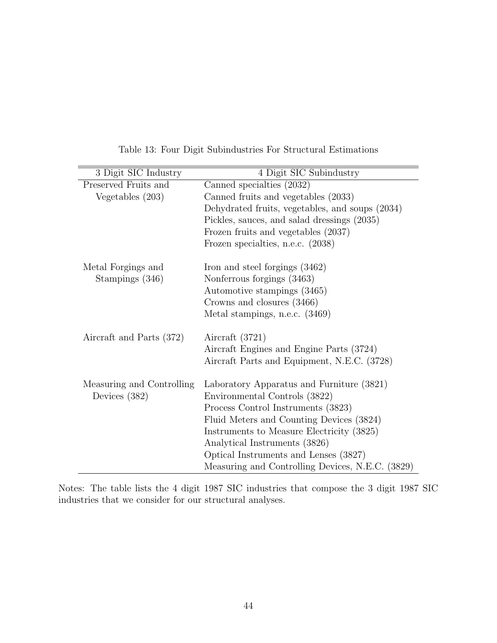| 3 Digit SIC Industry                                 | 4 Digit SIC Subindustry                          |  |
|------------------------------------------------------|--------------------------------------------------|--|
| Preserved Fruits and                                 | Canned specialties (2032)                        |  |
| Vegetables $(203)$                                   | Canned fruits and vegetables (2033)              |  |
|                                                      | Dehydrated fruits, vegetables, and soups (2034)  |  |
|                                                      | Pickles, sauces, and salad dressings (2035)      |  |
|                                                      | Frozen fruits and vegetables (2037)              |  |
|                                                      | Frozen specialties, n.e.c. (2038)                |  |
| Metal Forgings and<br>Iron and steel forgings (3462) |                                                  |  |
| Stampings (346)                                      | Nonferrous forgings (3463)                       |  |
|                                                      | Automotive stampings (3465)                      |  |
|                                                      | Crowns and closures (3466)                       |  |
|                                                      | Metal stampings, n.e.c. (3469)                   |  |
| Aircraft and Parts (372)                             | Aircraft $(3721)$                                |  |
|                                                      | Aircraft Engines and Engine Parts (3724)         |  |
|                                                      | Aircraft Parts and Equipment, N.E.C. (3728)      |  |
| Measuring and Controlling                            | Laboratory Apparatus and Furniture (3821)        |  |
| Devices $(382)$                                      | Environmental Controls (3822)                    |  |
|                                                      | Process Control Instruments (3823)               |  |
|                                                      | Fluid Meters and Counting Devices (3824)         |  |
|                                                      | Instruments to Measure Electricity (3825)        |  |
|                                                      | Analytical Instruments (3826)                    |  |
|                                                      | Optical Instruments and Lenses (3827)            |  |
|                                                      | Measuring and Controlling Devices, N.E.C. (3829) |  |

Table 13: Four Digit Subindustries For Structural Estimations

Notes: The table lists the 4 digit 1987 SIC industries that compose the 3 digit 1987 SIC industries that we consider for our structural analyses.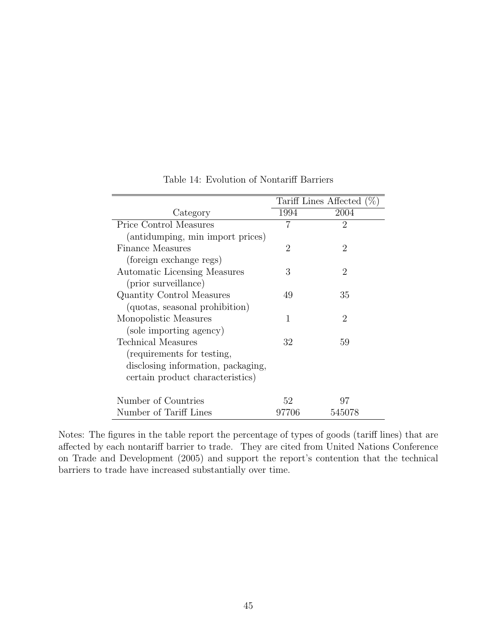|                                    | Tariff Lines Affected $(\% )$ |                             |
|------------------------------------|-------------------------------|-----------------------------|
| Category                           | 1994                          | 2004                        |
| Price Control Measures             | 7                             | $\overline{2}$              |
| (antidumping, min import prices)   |                               |                             |
| <b>Finance Measures</b>            | $\overline{2}$                | $\overline{2}$              |
| (foreign exchange regs)            |                               |                             |
| Automatic Licensing Measures       | 3                             | $\overline{2}$              |
| (prior surveillance)               |                               |                             |
| Quantity Control Measures          | 49                            | 35                          |
| (quotas, seasonal prohibition)     |                               |                             |
| Monopolistic Measures              | 1                             | $\mathcal{D}_{\mathcal{L}}$ |
| (sole importing agency)            |                               |                             |
| Technical Measures                 | 32                            | 59                          |
| (requirements for testing,         |                               |                             |
| disclosing information, packaging, |                               |                             |
| certain product characteristics)   |                               |                             |
|                                    |                               |                             |
| Number of Countries                | 52                            | 97                          |
| Number of Tariff Lines             | 97706                         | 545078                      |

Table 14: Evolution of Nontariff Barriers

Notes: The figures in the table report the percentage of types of goods (tariff lines) that are affected by each nontariff barrier to trade. They are cited from United Nations Conference on Trade and Development (2005) and support the report's contention that the technical barriers to trade have increased substantially over time.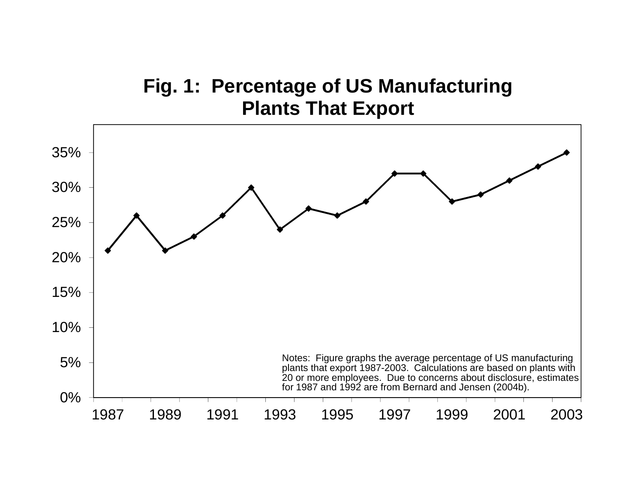# **Fig. 1: Percentage of US Manufacturing Plants That Export**

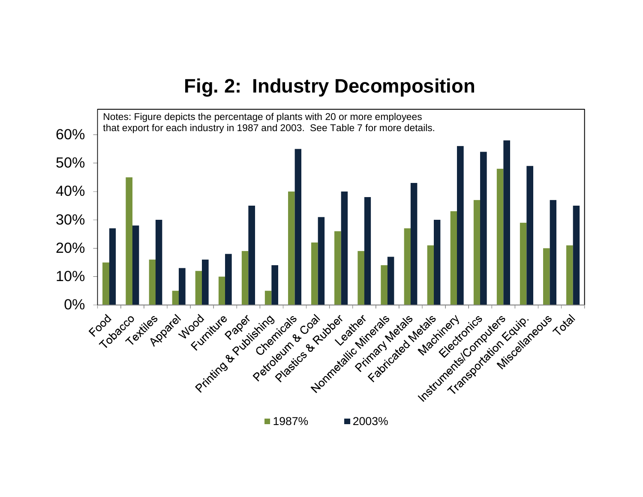# **Fig. 2: Industry Decomposition**

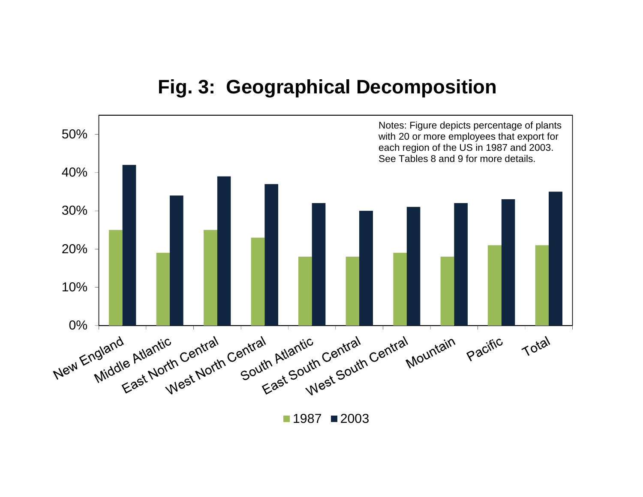

# **Fig. 3: Geographical Decomposition**

1987 ∎2003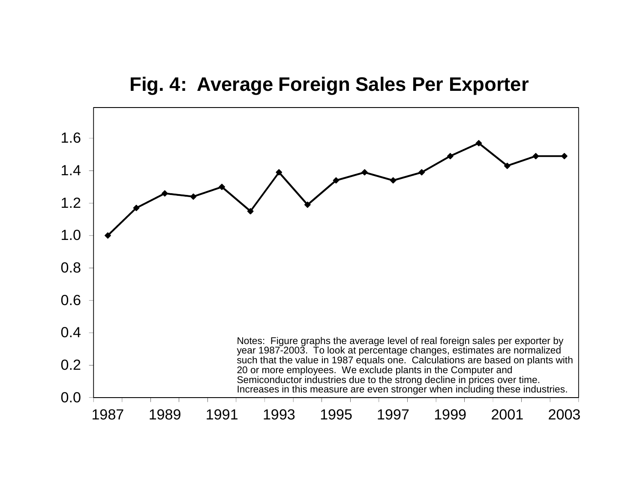## **Fig. 4: Average Foreign Sales Per Exporter**